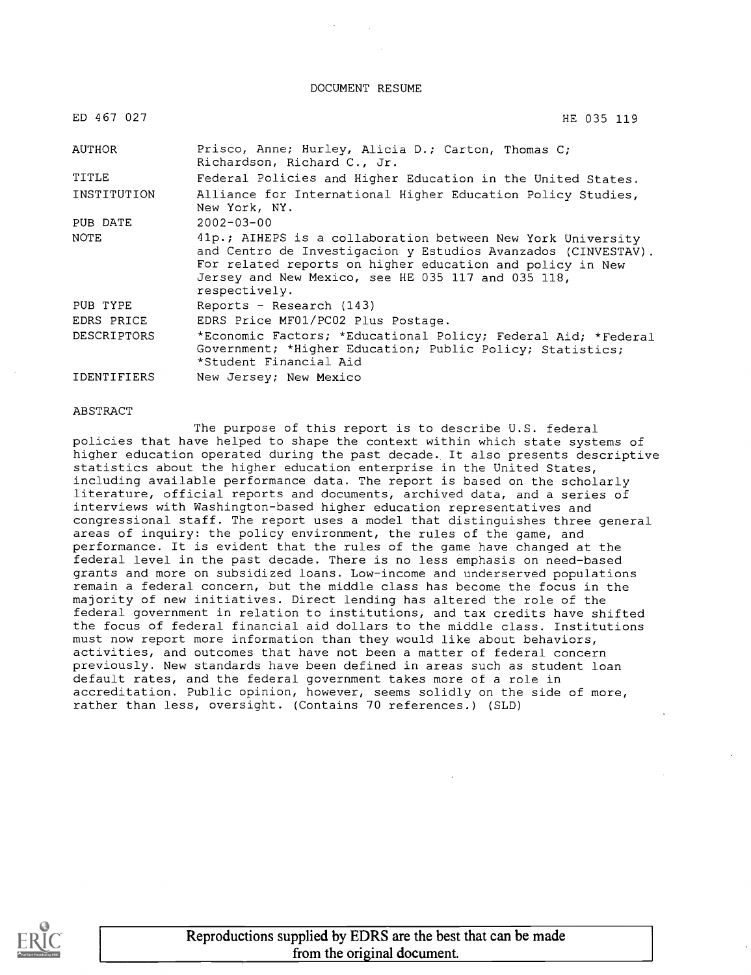DOCUMENT RESUME

| ED 467 027         | HE 035 119                                                                                                                                                                                                                                                       |
|--------------------|------------------------------------------------------------------------------------------------------------------------------------------------------------------------------------------------------------------------------------------------------------------|
| AUTHOR             | Prisco, Anne; Hurley, Alicia D.; Carton, Thomas C;<br>Richardson, Richard C., Jr.                                                                                                                                                                                |
| TITLE              | Federal Policies and Higher Education in the United States.                                                                                                                                                                                                      |
| INSTITUTION        | Alliance for International Higher Education Policy Studies,<br>New York, NY.                                                                                                                                                                                     |
| PUB DATE           | $2002 - 03 - 00$                                                                                                                                                                                                                                                 |
| <b>NOTE</b>        | 41p.; AIHEPS is a collaboration between New York University<br>and Centro de Investigacion y Estudios Avanzados (CINVESTAV).<br>For related reports on higher education and policy in New<br>Jersey and New Mexico, see HE 035 117 and 035 118,<br>respectively. |
| PUB TYPE           | Reports - Research $(143)$                                                                                                                                                                                                                                       |
| EDRS PRICE         | EDRS Price MF01/PC02 Plus Postage.                                                                                                                                                                                                                               |
| <b>DESCRIPTORS</b> | *Economic Factors; *Educational Policy; Federal Aid; *Federal<br>Government; *Higher Education; Public Policy; Statistics;<br>*Student Financial Aid                                                                                                             |
| IDENTIFIERS        | New Jersey; New Mexico                                                                                                                                                                                                                                           |

#### ABSTRACT

The purpose of this report is to describe U.S. federal policies that have helped to shape the context within which state systems of higher education operated during the past decade. It also presents descriptive statistics about the higher education enterprise in the United States, including available performance data. The report is based on the scholarly literature, official reports and documents, archived data, and a series of interviews with Washington-based higher education representatives and congressional staff. The report uses a model that distinguishes three general areas of inquiry: the policy environment, the rules of the game, and performance. It is evident that the rules of the game have changed at the federal level in the past decade. There is no less emphasis on need-based grants and more on subsidized loans. Low-income and underserved populations remain a federal concern, but the middle class has become the focus in the majority of new initiatives. Direct lending has altered the role of the federal government in relation to institutions, and tax credits have shifted the focus of federal financial aid dollars to the middle class. Institutions must now report more information than they would like about behaviors, activities, and outcomes that have not been a matter of federal concern previously. New standards have been defined in areas such as student loan default rates, and the federal government takes more of a role in accreditation. Public opinion, however, seems solidly on the side of more, rather than less, oversight. (Contains 70 references.) (SLD)

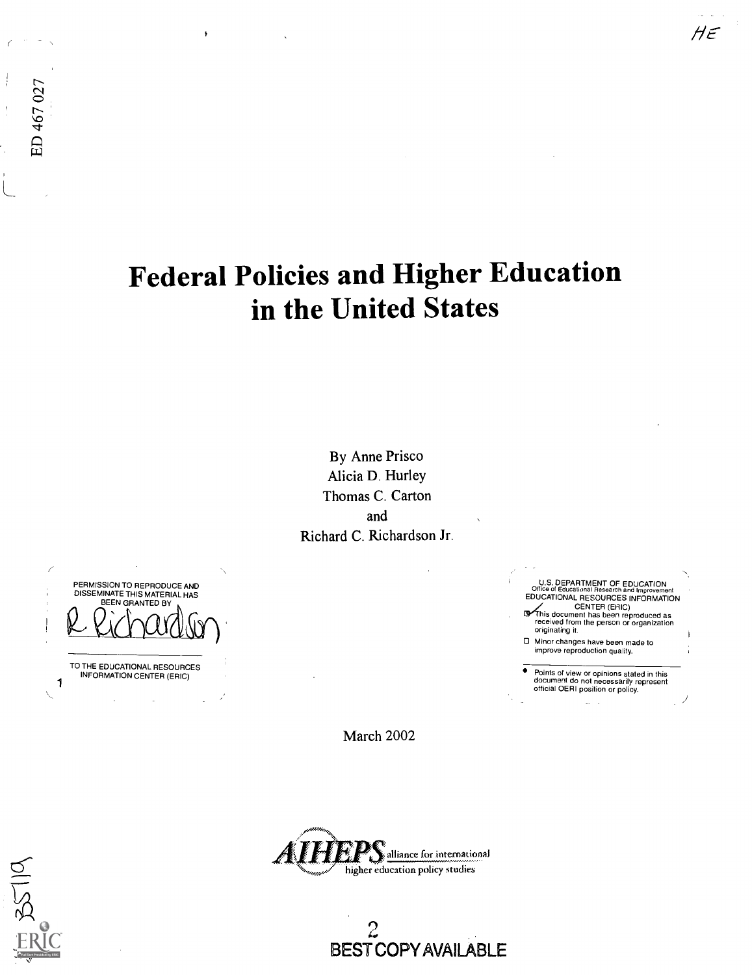# Federal Policies and Higher Education in the United States

By Anne Prisco Alicia D. Hurley Thomas C. Carton and Richard C. Richardson Jr.

PERMISSION TO REPRODUCE AND DISSEMINATE THIS MATERIAL HAS BEEN GRANTED BY

1 TO THE EDUCATIONAL RESOURCES INFORMATION CENTER (ERIC)

March 2002



 $2 - 2$ BEST COPY AVAILABLE

U.S. DEPARTMENT OF EDUCATION<br>Office of Educational Research and Improveme Office of Educational Research and Improvement<br>EDUCATIONAL RESOURCES INFORMATION<br>This document has been reproduced as<br>received from the person or organization originating it. Minor changes have been made to

 $H\epsilon$ 

improve reproduction quality.

Points of view or opinions stated in this document do not necessarily represent official OERI position or policy.

ED 467 027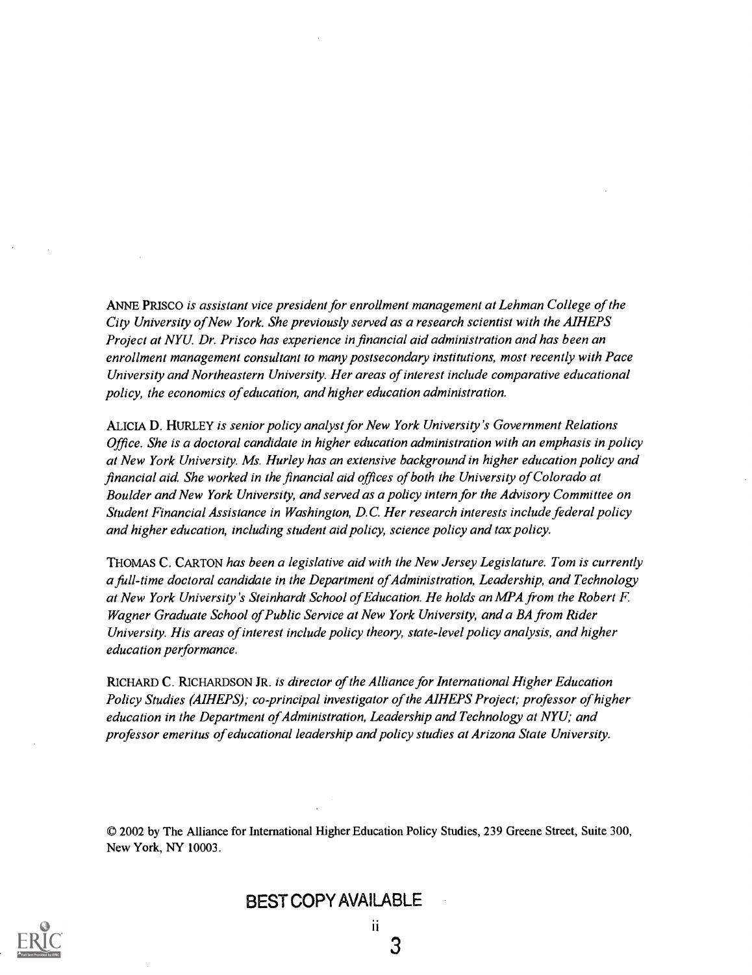ANNE PRISCO is assistant vice president for enrollment management at Lehman College of the City University ofNew York. She previously served as a research scientist with the AIHEPS Project at NYU. Dr. Prisco has experience in financial aid administration and has been an enrollment management consultant to many postsecondary institutions, most recently with Pace University and Northeastern University. Her areas of interest include comparative educational policy, the economics of education, and higher education administration.

ALICIA D. HURLEY is senior policy analyst for New York University's Government Relations Office. She is a doctoral candidate in higher education administration with an emphasis in policy at New York University. Ms. Hurley has an extensive background in higher education policy and financial aid. She worked in the financial aid offices of both the University of Colorado at Boulder and New York University, and served as a policy intern for the Advisory Committee on Student Financial Assistance in Washington, D.C. Her research interests include federal policy and higher education, including student aid policy, science policy and tax policy.

THOMAS C. CARTON has been a legislative aid with the New Jersey Legislature. Tom is currently a full-time doctoral candidate in the Department of Administration, Leadership, and Technology at New York University's Steinhardt School of Education. He holds an MPA from the Robert F Wagner Graduate School of Public Service at New York University, and a BA from Rider University. His areas of interest include policy theory, state-level policy analysis, and higher education performance.

RICHARD C. RICHARDSON JR. is director of the Alliance for International Higher Education Policy Studies (AIHEPS); co-principal investigator of the AIHEPS Project; professor of higher education in the Department of Administration, Leadership and Technology at NYU; and professor emeritus of educational leadership and policy studies at Arizona State University.

© 2002 by The Alliance for International Higher Education Policy Studies, 239 Greene Street, Suite 300, New York, NY 10003.



BEST COPY AVAILABLE

ii.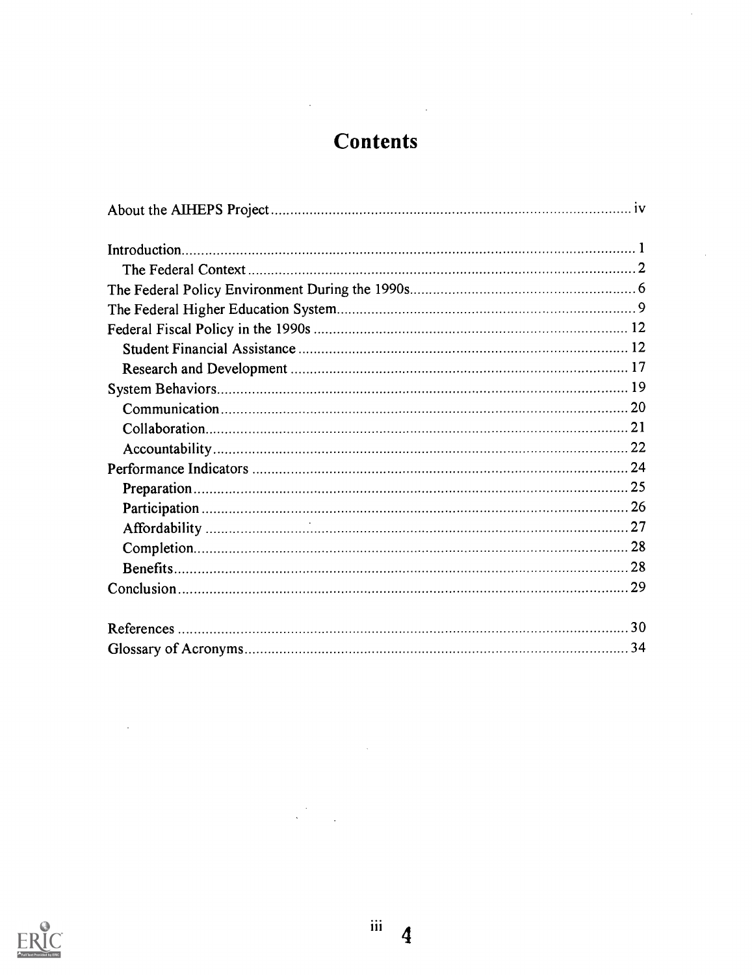# **Contents**

 $\mathbb{R}^2$ 

 $\frac{1}{2}$ 

 $\frac{1}{2}$ 



 $\frac{1}{\sqrt{2}}$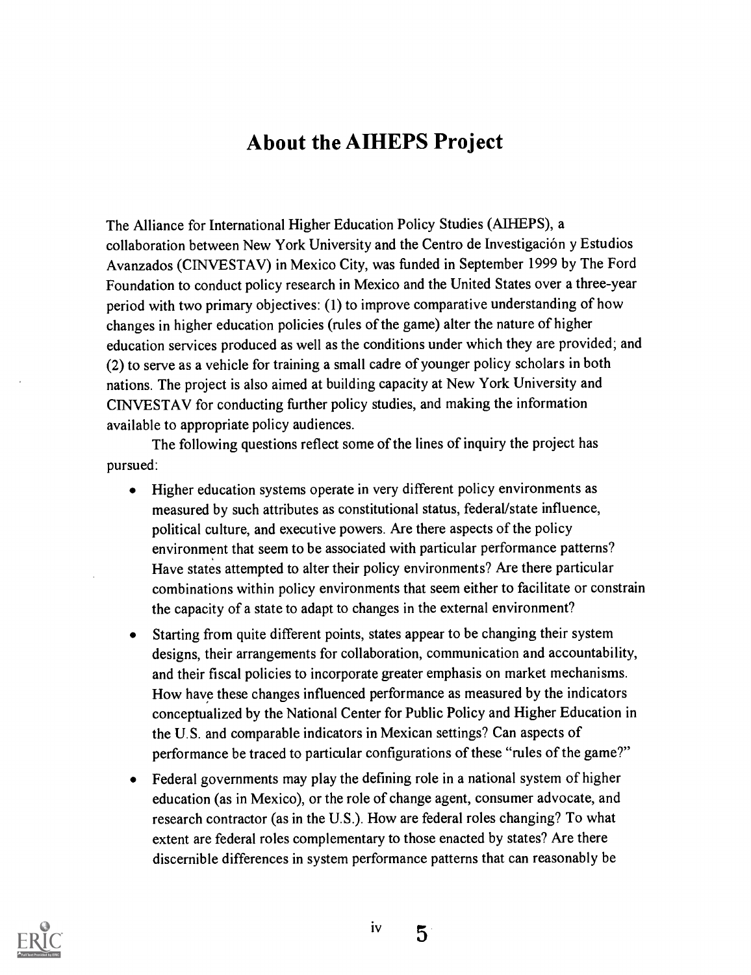# About the AIHEPS Project

The Alliance for International Higher Education Policy Studies (AIHEPS), a collaboration between New York University and the Centro de Investigacion y Estudios Avanzados (CINVESTAV) in Mexico City, was funded in September 1999 by The Ford Foundation to conduct policy research in Mexico and the United States over a three-year period with two primary objectives: (1) to improve comparative understanding of how changes in higher education policies (rules of the game) alter the nature of higher education services produced as well as the conditions under which they are provided; and (2) to serve as a vehicle for training a small cadre of younger policy scholars in both nations. The project is also aimed at building capacity at New York University and CINVESTAV for conducting further policy studies, and making the information available to appropriate policy audiences.

The following questions reflect some of the lines of inquiry the project has pursued:

- Higher education systems operate in very different policy environments as  $\bullet$ measured by such attributes as constitutional status, federal/state influence, political culture, and executive powers. Are there aspects of the policy environment that seem to be associated with particular performance patterns? Have states attempted to alter their policy environments? Are there particular combinations within policy environments that seem either to facilitate or constrain the capacity of a state to adapt to changes in the external environment?
- Starting from quite different points, states appear to be changing their system designs, their arrangements for collaboration, communication and accountability, and their fiscal policies to incorporate greater emphasis on market mechanisms. How have these changes influenced performance as measured by the indicators conceptualized by the National Center for Public Policy and Higher Education in the U.S. and comparable indicators in Mexican settings? Can aspects of performance be traced to particular configurations of these "rules of the game?"
- Federal governments may play the defining role in a national system of higher education (as in Mexico), or the role of change agent, consumer advocate, and research contractor (as in the U.S.). How are federal roles changing? To what extent are federal roles complementary to those enacted by states? Are there discernible differences in system performance patterns that can reasonably be



5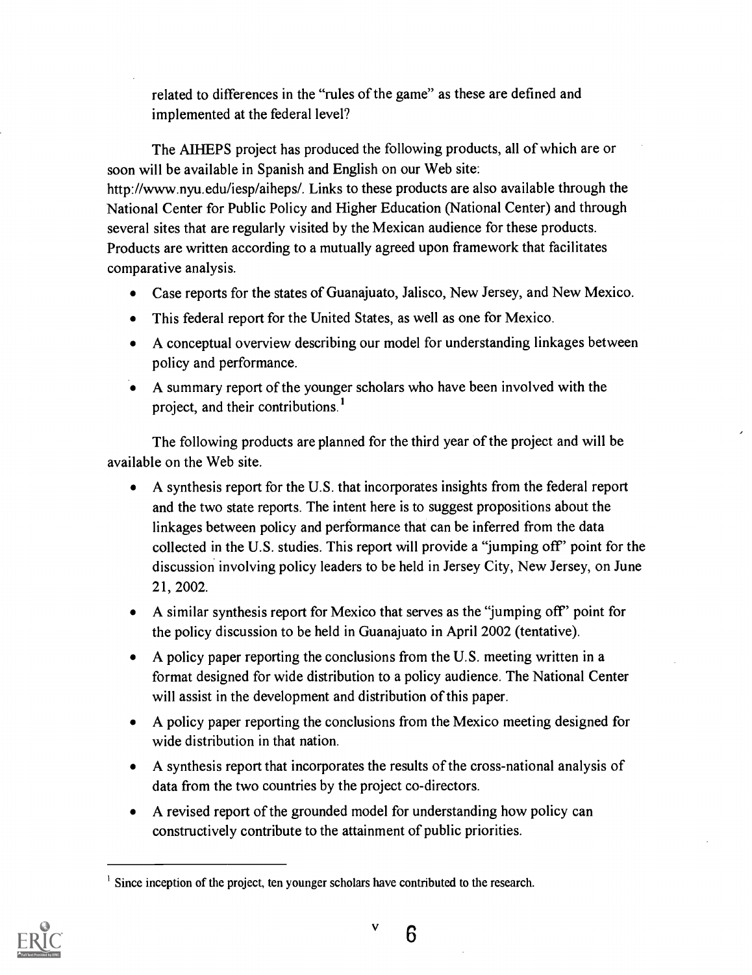related to differences in the "rules of the game" as these are defined and implemented at the federal level?

The AIHEPS project has produced the following products, all of which are or soon will be available in Spanish and English on our Web site:

http://www.nyu.edu/iesp/aiheps/. Links to these products are also available through the National Center for Public Policy and Higher Education (National Center) and through several sites that are regularly visited by the Mexican audience for these products. Products are written according to a mutually agreed upon framework that facilitates comparative analysis.

- Case reports for the states of Guanajuato, Jalisco, New Jersey, and New Mexico.
- This federal report for the United States, as well as one for Mexico.
- A conceptual overview describing our model for understanding linkages between policy and performance.
- A summary report of the younger scholars who have been involved with the project, and their contributions.'

The following products are planned for the third year of the project and will be available on the Web site.

- A synthesis report for the U.S. that incorporates insights from the federal report and the two state reports. The intent here is to suggest propositions about the linkages between policy and performance that can be inferred from the data collected in the U.S. studies. This report will provide a "jumping off' point for the discussion involving policy leaders to be held in Jersey City, New Jersey, on June 21, 2002.
- A similar synthesis report for Mexico that serves as the "jumping off' point for the policy discussion to be held in Guanajuato in April 2002 (tentative).
- A policy paper reporting the conclusions from the U.S. meeting written in a format designed for wide distribution to a policy audience. The National Center will assist in the development and distribution of this paper.
- A policy paper reporting the conclusions from the Mexico meeting designed for wide distribution in that nation.
- A synthesis report that incorporates the results of the cross-national analysis of data from the two countries by the project co-directors.
- A revised report of the grounded model for understanding how policy can constructively contribute to the attainment of public priorities.



Since inception of the project, ten younger scholars have contributed to the research.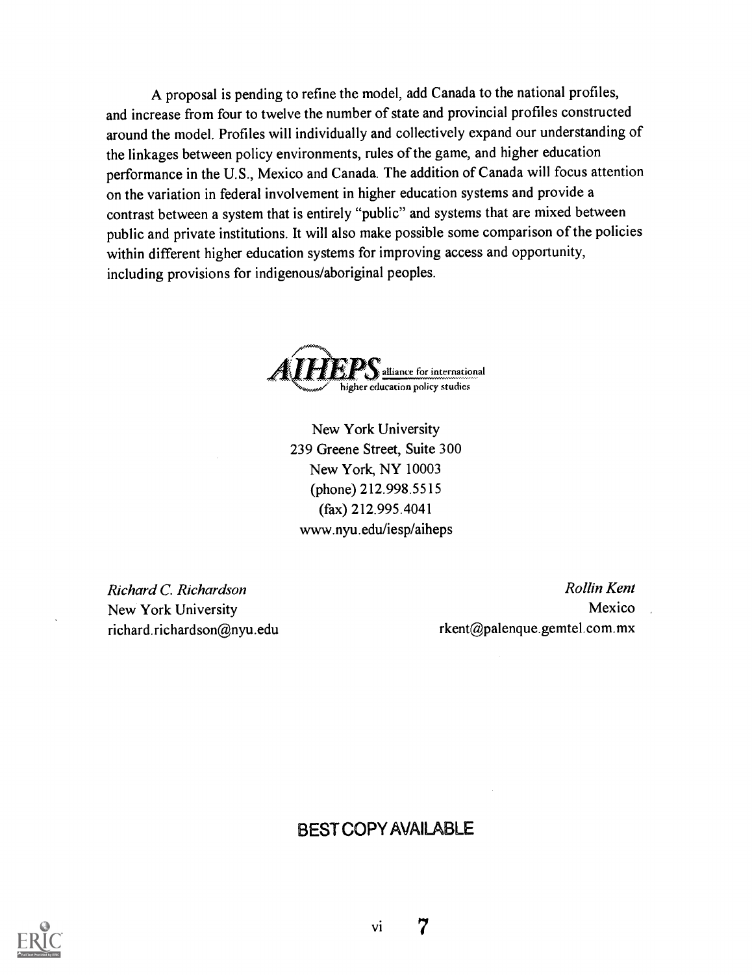A proposal is pending to refine the model, add Canada to the national profiles, and increase from four to twelve the number of state and provincial profiles constructed around the model. Profiles will individually and collectively expand our understanding of the linkages between policy environments, rules of the game, and higher education performance in the U.S., Mexico and Canada. The addition of Canada will focus attention on the variation in federal involvement in higher education systems and provide a contrast between a system that is entirely "public" and systems that are mixed between public and private institutions. It will also make possible some comparison of the policies within different higher education systems for improving access and opportunity, including provisions for indigenous/aboriginal peoples.



New York University 239 Greene Street, Suite 300 New York, NY 10003 (phone) 212.998.5515 (fax) 212.995.4041 www.nyu.edu/iesp/aiheps

Richard C. Richardson **Rollin Kent** New York University Mexico richard.richardson@nyu.edu rkent@palenque.gemtel.com.mx

# BEST COPY AVAILABLE

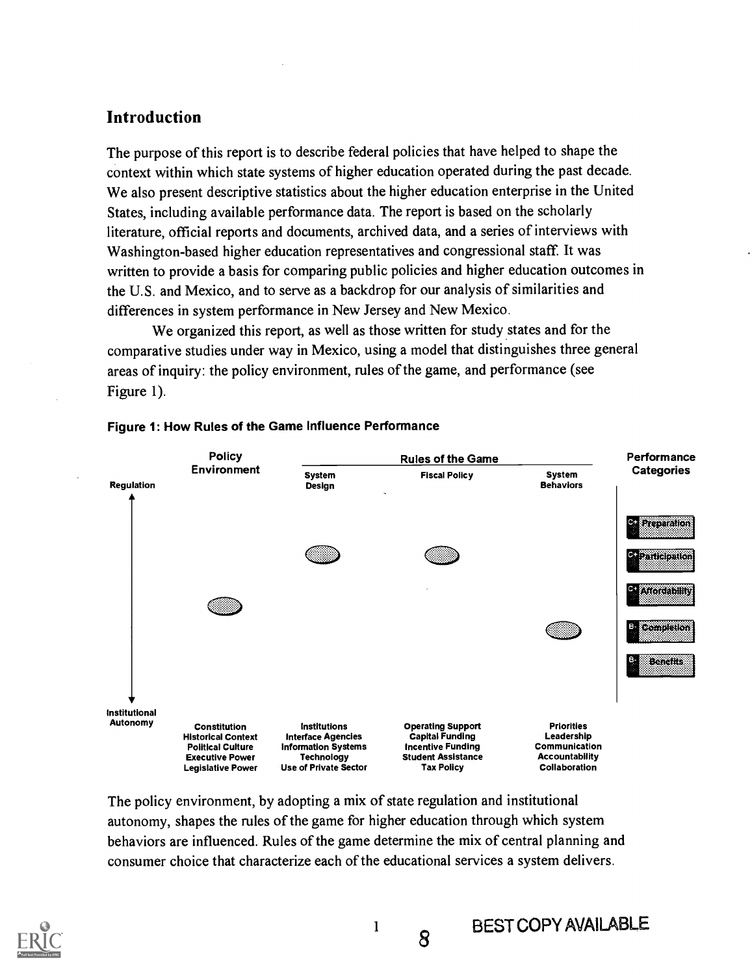# Introduction

The purpose of this report is to describe federal policies that have helped to shape the context within which state systems of higher education operated during the past decade. We also present descriptive statistics about the higher education enterprise in the United States, including available performance data. The report is based on the scholarly literature, official reports and documents, archived data, and a series of interviews with Washington-based higher education representatives and congressional staff. It was written to provide a basis for comparing public policies and higher education outcomes in the U.S. and Mexico, and to serve as a backdrop for our analysis of similarities and differences in system performance in New Jersey and New Mexico.

We organized this report, as well as those written for study states and for the comparative studies under way in Mexico, using a model that distinguishes three general areas of inquiry: the policy environment, rules of the game, and performance (see Figure 1).



#### Figure 1: How Rules of the Game Influence Performance

The policy environment, by adopting a mix of state regulation and institutional autonomy, shapes the rules of the game for higher education through which system behaviors are influenced. Rules of the game determine the mix of central planning and consumer choice that characterize each of the educational services a system delivers.

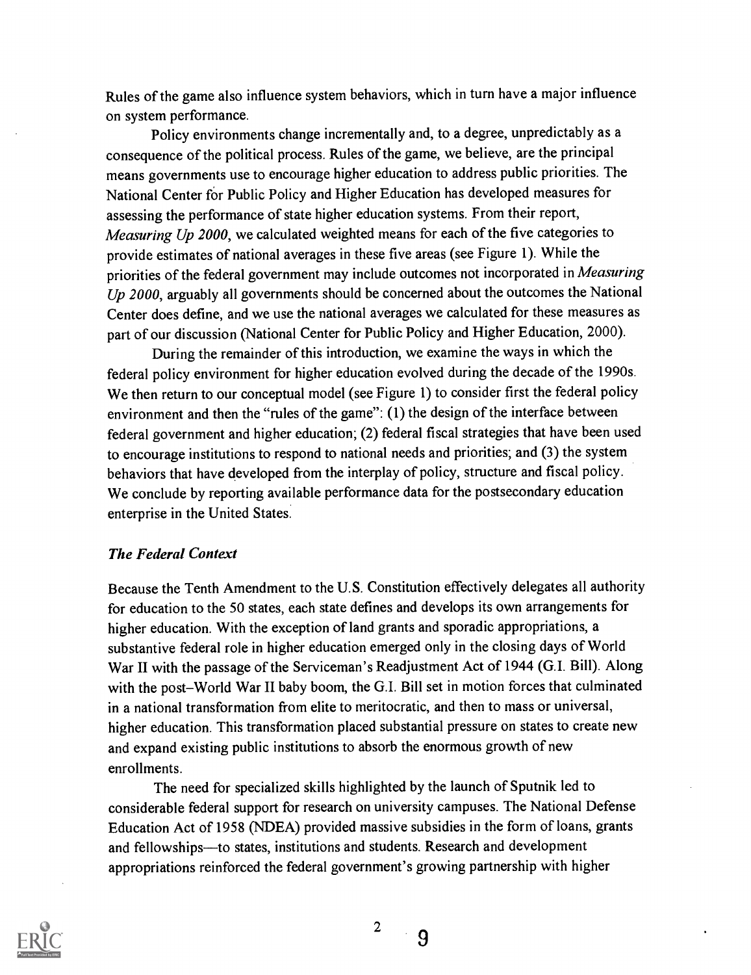Rules of the game also influence system behaviors, which in turn have a major influence on system performance.

Policy environments change incrementally and, to a degree, unpredictably as a consequence of the political process. Rules of the game, we believe, are the principal means governments use to encourage higher education to address public priorities. The National Center for Public Policy and Higher Education has developed measures for assessing the performance of state higher education systems. From their report, Measuring Up 2000, we calculated weighted means for each of the five categories to provide estimates of national averages in these five areas (see Figure 1). While the priorities of the federal government may include outcomes not incorporated in Measuring Up 2000, arguably all governments should be concerned about the outcomes the National Center does define, and we use the national averages we calculated for these measures as part of our discussion (National Center for Public Policy and Higher Education, 2000).

During the remainder of this introduction, we examine the ways in which the federal policy environment for higher education evolved during the decade of the 1990s. We then return to our conceptual model (see Figure 1) to consider first the federal policy environment and then the "rules of the game": (1) the design of the interface between federal government and higher education; (2) federal fiscal strategies that have been used to encourage institutions to respond to national needs and priorities; and (3) the system behaviors that have developed from the interplay of policy, structure and fiscal policy. We conclude by reporting available performance data for the postsecondary education enterprise in the United States.

### The Federal Context

Because the Tenth Amendment to the U.S. Constitution effectively delegates all authority for education to the 50 states, each state defines and develops its own arrangements for higher education. With the exception of land grants and sporadic appropriations, a substantive federal role in higher education emerged only in the closing days of World War II with the passage of the Serviceman's Readjustment Act of 1944 (G.I. Bill). Along with the post-World War II baby boom, the G.I. Bill set in motion forces that culminated in a national transformation from elite to meritocratic, and then to mass or universal, higher education. This transformation placed substantial pressure on states to create new and expand existing public institutions to absorb the enormous growth of new enrollments.

The need for specialized skills highlighted by the launch of Sputnik led to considerable federal support for research on university campuses. The National Defense Education Act of 1958 (NDEA) provided massive subsidies in the form of loans, grants and fellowships—to states, institutions and students. Research and development appropriations reinforced the federal government's growing partnership with higher



9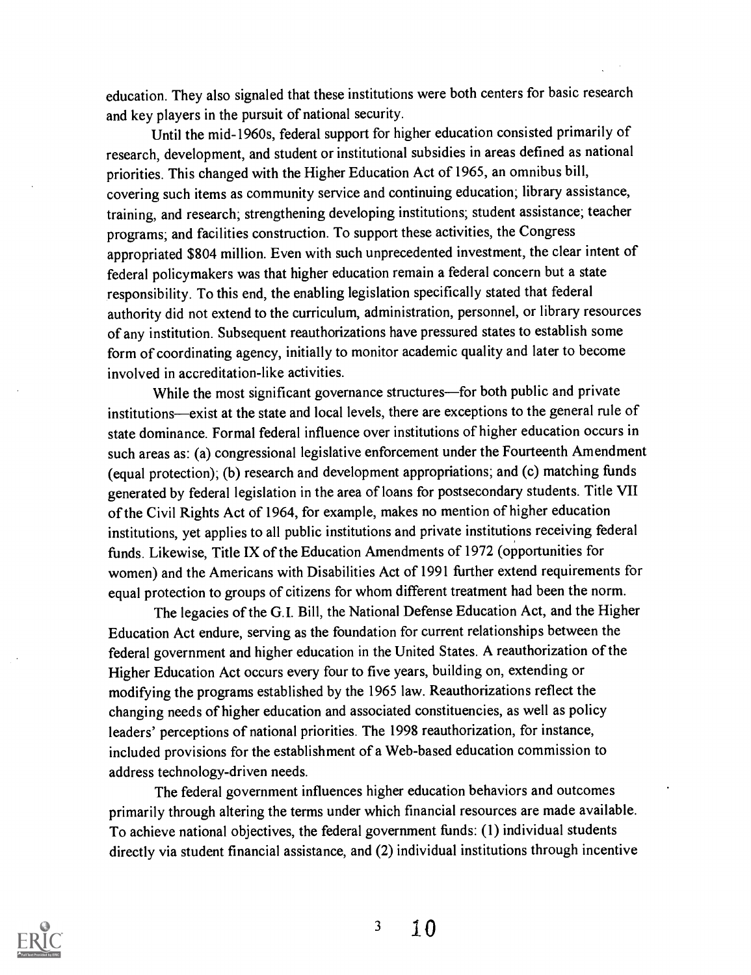education. They also signaled that these institutions were both centers for basic research and key players in the pursuit of national security.

Until the mid-1960s, federal support for higher education consisted primarily of research, development, and student or institutional subsidies in areas defined as national priorities. This changed with the Higher Education Act of 1965, an omnibus bill, covering such items as community service and continuing education; library assistance, training, and research; strengthening developing institutions; student assistance; teacher programs; and facilities construction. To support these activities, the Congress appropriated \$804 million. Even with such unprecedented investment, the clear intent of federal policymakers was that higher education remain a federal concern but a state responsibility. To this end, the enabling legislation specifically stated that federal authority did not extend to the curriculum, administration, personnel, or library resources of any institution. Subsequent reauthorizations have pressured states to establish some form of coordinating agency, initially to monitor academic quality and later to become involved in accreditation-like activities.

While the most significant governance structures—for both public and private institutions—exist at the state and local levels, there are exceptions to the general rule of state dominance. Formal federal influence over institutions of higher education occurs in such areas as: (a) congressional legislative enforcement under the Fourteenth Amendment (equal protection); (b) research and development appropriations; and (c) matching funds generated by federal legislation in the area of loans for postsecondary students. Title VII of the Civil Rights Act of 1964, for example, makes no mention of higher education institutions, yet applies to all public institutions and private institutions receiving federal funds. Likewise, Title IX of the Education Amendments of 1972 (opportunities for women) and the Americans with Disabilities Act of 1991 further extend requirements for equal protection to groups of citizens for whom different treatment had been the norm.

The legacies of the G.I. Bill, the National Defense Education Act, and the Higher Education Act endure, serving as the foundation for current relationships between the federal government and higher education in the United States. A reauthorization of the Higher Education Act occurs every four to five years, building on, extending or modifying the programs established by the 1965 law. Reauthorizations reflect the changing needs of higher education and associated constituencies, as well as policy leaders' perceptions of national priorities. The 1998 reauthorization, for instance, included provisions for the establishment of a Web-based education commission to address technology-driven needs.

The federal government influences higher education behaviors and outcomes primarily through altering the terms under which financial resources are made available. To achieve national objectives, the federal government funds: (1) individual students directly via student financial assistance, and (2) individual institutions through incentive

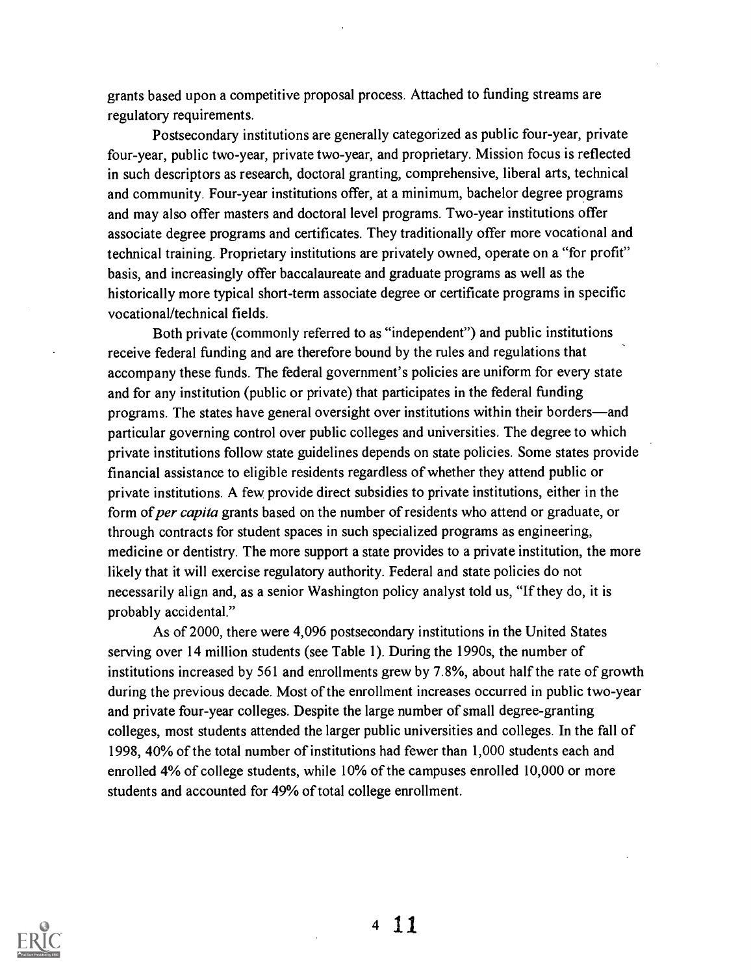grants based upon a competitive proposal process. Attached to funding streams are regulatory requirements.

Postsecondary institutions are generally categorized as public four-year, private four-year, public two-year, private two-year, and proprietary. Mission focus is reflected in such descriptors as research, doctoral granting, comprehensive, liberal arts, technical and community. Four-year institutions offer, at a minimum, bachelor degree programs and may also offer masters and doctoral level programs. Two-year institutions offer associate degree programs and certificates. They traditionally offer more vocational and technical training. Proprietary institutions are privately owned, operate on a "for profit" basis, and increasingly offer baccalaureate and graduate programs as well as the historically more typical short-term associate degree or certificate programs in specific vocational/technical fields.

Both private (commonly referred to as "independent") and public institutions receive federal funding and are therefore bound by the rules and regulations that accompany these funds. The federal government's policies are uniform for every state and for any institution (public or private) that participates in the federal funding programs. The states have general oversight over institutions within their borders—and particular governing control over public colleges and universities. The degree to which private institutions follow state guidelines depends on state policies. Some states provide financial assistance to eligible residents regardless of whether they attend public or private institutions. A few provide direct subsidies to private institutions, either in the form of per capita grants based on the number of residents who attend or graduate, or through contracts for student spaces in such specialized programs as engineering, medicine or dentistry. The more support a state provides to a private institution, the more likely that it will exercise regulatory authority. Federal and state policies do not necessarily align and, as a senior Washington policy analyst told us, "If they do, it is probably accidental."

As of 2000, there were 4,096 postsecondary institutions in the United States serving over 14 million students (see Table 1). During the 1990s, the number of institutions increased by 561 and enrollments grew by 7.8%, about half the rate of growth during the previous decade. Most of the enrollment increases occurred in public two-year and private four-year colleges. Despite the large number of small degree-granting colleges, most students attended the larger public universities and colleges. In the fall of 1998, 40% of the total number of institutions had fewer than 1,000 students each and enrolled 4% of college students, while 10% of the campuses enrolled 10,000 or more students and accounted for 49% of total college enrollment.



4 11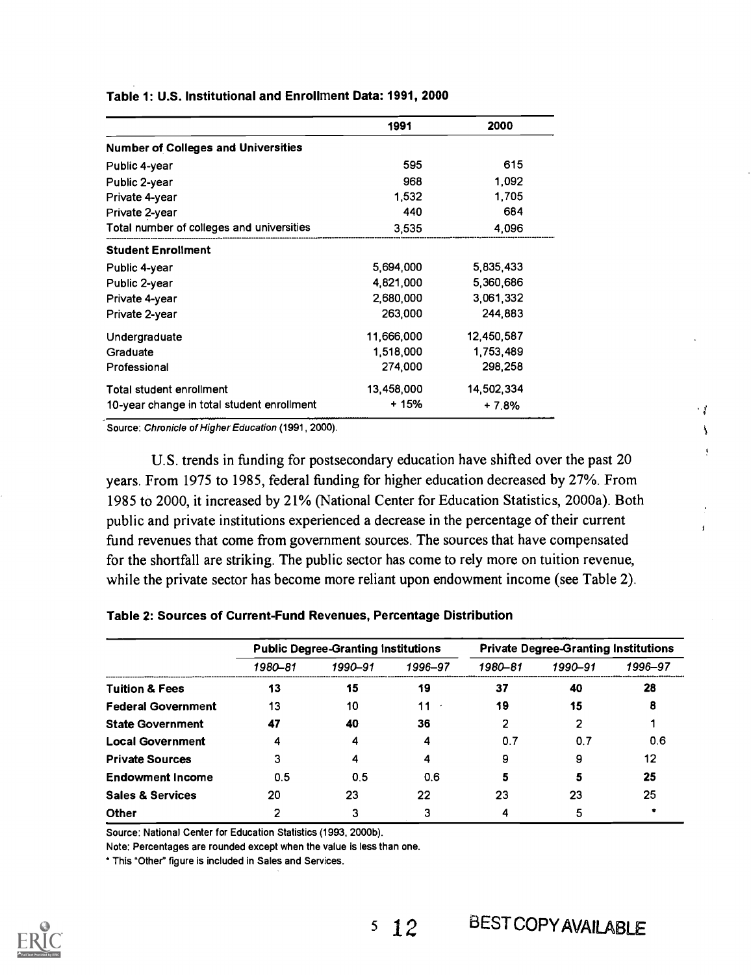|                                            | 1991       | 2000       |
|--------------------------------------------|------------|------------|
| <b>Number of Colleges and Universities</b> |            |            |
| Public 4-year                              | 595        | 615        |
| Public 2-year                              | 968        | 1,092      |
| Private 4-year                             | 1.532      | 1.705      |
| Private 2-year                             | 440        | 684        |
| Total number of colleges and universities  | 3,535      | 4,096      |
| <b>Student Enrollment</b>                  |            |            |
| Public 4-year                              | 5,694,000  | 5,835,433  |
| Public 2-year                              | 4,821,000  | 5,360,686  |
| Private 4-year                             | 2,680,000  | 3,061,332  |
| Private 2-year                             | 263,000    | 244,883    |
| Undergraduate                              | 11,666,000 | 12,450,587 |
| Graduate                                   | 1,518,000  | 1,753,489  |
| Professional                               | 274,000    | 298,258    |
| Total student enrollment                   | 13,458,000 | 14,502,334 |
| 10-year change in total student enrollment | + 15%      | $+7.8%$    |

Table 1: U.S. Institutional and Enrollment Data: 1991, 2000

Source: Chronicle of Higher Education (1991, 2000).

U.S. trends in funding for postsecondary education have shifted over the past 20 years. From 1975 to 1985, federal funding for higher education decreased by 27%. From 1985 to 2000, it increased by 21% (National Center for Education Statistics, 2000a). Both public and private institutions experienced a decrease in the percentage of their current fund revenues that come from government sources. The sources that have compensated for the shortfall are striking. The public sector has come to rely more on tuition revenue, while the private sector has become more reliant upon endowment income (see Table 2).

| Table 2: Sources of Current-Fund Revenues, Percentage Distribution |  |
|--------------------------------------------------------------------|--|
|--------------------------------------------------------------------|--|

|                             |         | <b>Public Degree-Granting Institutions</b> | <b>Private Degree-Granting Institutions</b> |         |         |         |
|-----------------------------|---------|--------------------------------------------|---------------------------------------------|---------|---------|---------|
|                             | 1980-81 | 1990-91                                    | 1996-97                                     | 1980-81 | 1990-91 | 1996–97 |
| <b>Tuition &amp; Fees</b>   | 13      | 15                                         | 19                                          | 37      | 40      | 28      |
| <b>Federal Government</b>   | 13      | 10                                         | 11                                          | 19      | 15      | 8       |
| <b>State Government</b>     | 47      | 40                                         | 36                                          | າ       |         |         |
| <b>Local Government</b>     | 4       |                                            | 4                                           | 0.7     | 0.7     | 0.6     |
| <b>Private Sources</b>      | З       |                                            | 4                                           | 9       | 9       | 12      |
| <b>Endowment Income</b>     | 0.5     | 0.5                                        | 0.6                                         | 5       | 5       | 25      |
| <b>Sales &amp; Services</b> | 20      | 23                                         | 22                                          | 23      | 23      | 25      |
| <b>Other</b>                | າ       |                                            | 3                                           |         |         |         |

Source: National Center for Education Statistics (1993, 2000b).

Note: Percentages are rounded except when the value is less than one.

This "Other" figure is included in Sales and Services.



 $\cdot$   $\sqrt{s}$ Ĵ.

 $\overline{1}$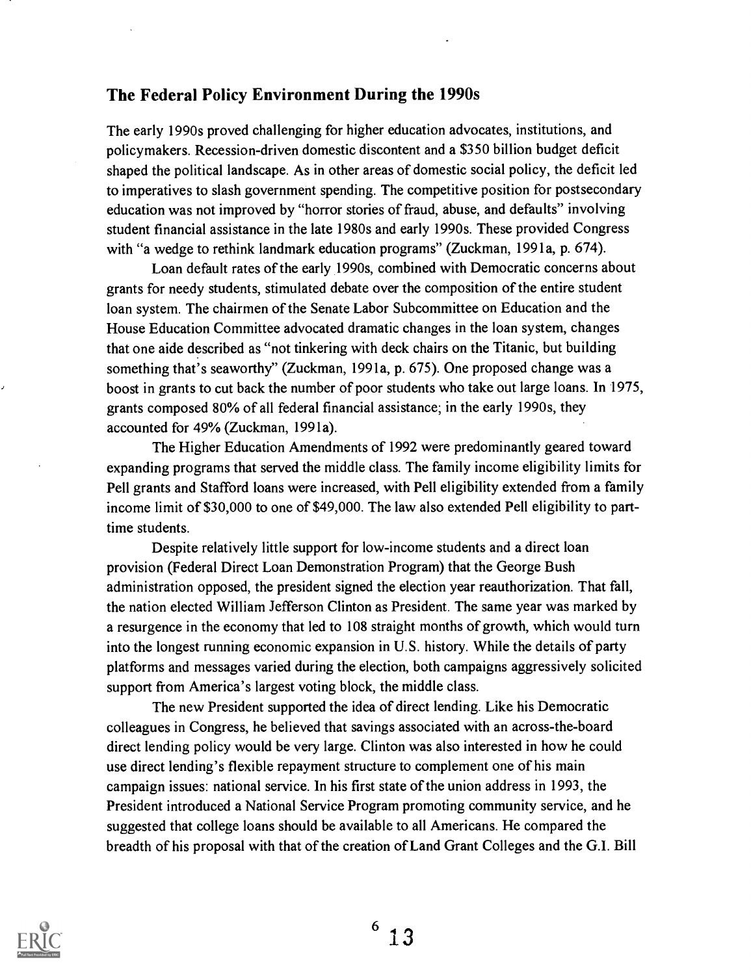### The Federal Policy Environment During the 1990s

The early 1990s proved challenging for higher education advocates, institutions, and policymakers. Recession-driven domestic discontent and a \$350 billion budget deficit shaped the political landscape. As in other areas of domestic social policy, the deficit led to imperatives to slash government spending. The competitive position for postsecondary education was not improved by "horror stories of fraud, abuse, and defaults" involving student financial assistance in the late 1980s and early 1990s. These provided Congress with "a wedge to rethink landmark education programs" (Zuckman, 1991a, p. 674).

Loan default rates of the early 1990s, combined with Democratic concerns about grants for needy students, stimulated debate over the composition of the entire student loan system. The chairmen of the Senate Labor Subcommittee on Education and the House Education Committee advocated dramatic changes in the loan system, changes that one aide described as "not tinkering with deck chairs on the Titanic, but building something that's seaworthy" (Zuckman, 1991a, p. 675). One proposed change was a boost in grants to cut back the number of poor students who take out large loans. In 1975, grants composed 80% of all federal financial assistance; in the early 1990s, they accounted for 49% (Zuckman, 1991a).

The Higher Education Amendments of 1992 were predominantly geared toward expanding programs that served the middle class. The family income eligibility limits for Pell grants and Stafford loans were increased, with Pell eligibility extended from a family income limit of \$30,000 to one of \$49,000. The law also extended Pell eligibility to parttime students.

Despite relatively little support for low-income students and a direct loan provision (Federal Direct Loan Demonstration Program) that the George Bush administration opposed, the president signed the election year reauthorization. That fall, the nation elected William Jefferson Clinton as President. The same year was marked by a resurgence in the economy that led to 108 straight months of growth, which would turn into the longest running economic expansion in U.S. history. While the details of party platforms and messages varied during the election, both campaigns aggressively solicited support from America's largest voting block, the middle class.

The new President supported the idea of direct lending. Like his Democratic colleagues in Congress, he believed that savings associated with an across-the-board direct lending policy would be very large. Clinton was also interested in how he could use direct lending's flexible repayment structure to complement one of his main campaign issues: national service. In his first state of the union address in 1993, the President introduced a National Service Program promoting community service, and he suggested that college loans should be available to all Americans. He compared the breadth of his proposal with that of the creation of Land Grant Colleges and the G.I. Bill

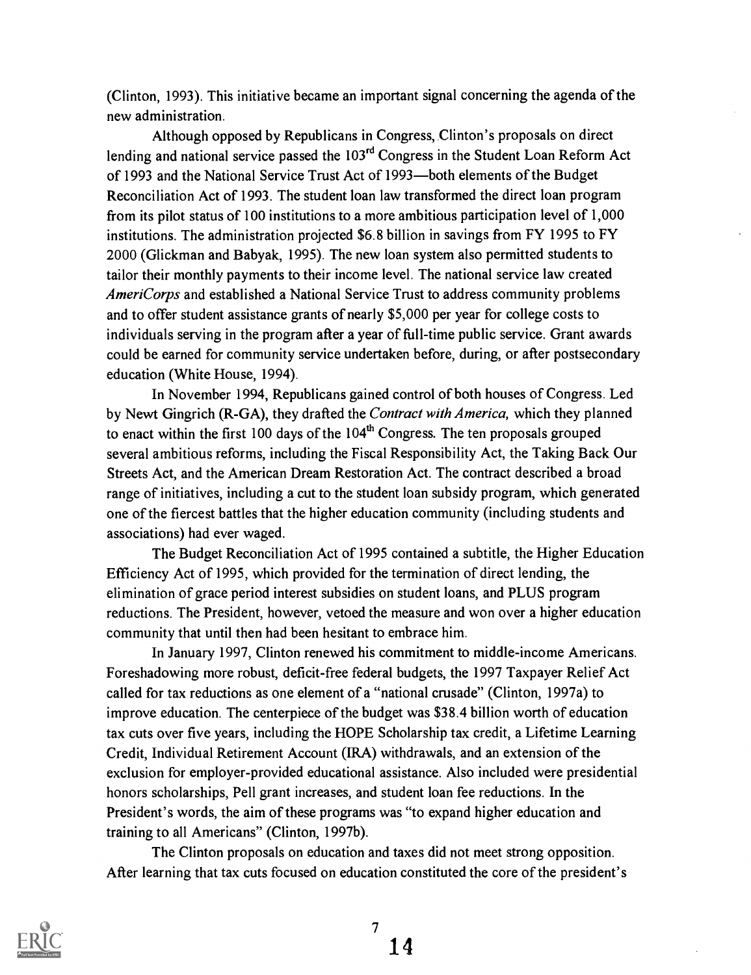(Clinton, 1993). This initiative became an important signal concerning the agenda of the new administration.

Although opposed by Republicans in Congress, Clinton's proposals on direct lending and national service passed the 103<sup>rd</sup> Congress in the Student Loan Reform Act of 1993 and the National Service Trust Act of 1993—both elements of the Budget Reconciliation Act of 1993. The student loan law transformed the direct loan program from its pilot status of 100 institutions to a more ambitious participation level of 1,000 institutions. The administration projected \$6.8 billion in savings from FY 1995 to FY 2000 (Glickman and Babyak, 1995). The new loan system also permitted students to tailor their monthly payments to their income level. The national service law created AmeriCorps and established a National Service Trust to address community problems and to offer student assistance grants of nearly \$5,000 per year for college costs to individuals serving in the program after a year of full-time public service. Grant awards could be earned for community service undertaken before, during, or after postsecondary education (White House, 1994).

In November 1994, Republicans gained control of both houses of Congress. Led by Newt Gingrich (R-GA), they drafted the Contract with America, which they planned to enact within the first 100 days of the  $104<sup>th</sup>$  Congress. The ten proposals grouped several ambitious reforms, including the Fiscal Responsibility Act, the Taking Back Our Streets Act, and the American Dream Restoration Act. The contract described a broad range of initiatives, including a cut to the student loan subsidy program, which generated one of the fiercest battles that the higher education community (including students and associations) had ever waged.

The Budget Reconciliation Act of 1995 contained a subtitle, the Higher Education Efficiency Act of 1995, which provided for the termination of direct lending, the elimination of grace period interest subsidies on student loans, and PLUS program reductions. The President, however, vetoed the measure and won over a higher education community that until then had been hesitant to embrace him.

In January 1997, Clinton renewed his commitment to middle-income Americans. Foreshadowing more robust, deficit-free federal budgets, the 1997 Taxpayer Relief Act called for tax reductions as one element of a "national crusade" (Clinton, 1997a) to improve education. The centerpiece of the budget was \$38.4 billion worth of education tax cuts over five years, including the HOPE Scholarship tax credit, a Lifetime Learning Credit, Individual Retirement Account (IRA) withdrawals, and an extension of the exclusion for employer-provided educational assistance. Also included were presidential honors scholarships, Pell grant increases, and student loan fee reductions. In the President's words, the aim of these programs was "to expand higher education and training to all Americans" (Clinton, 1997b).

The Clinton proposals on education and taxes did not meet strong opposition. After learning that tax cuts focused on education constituted the core of the president's

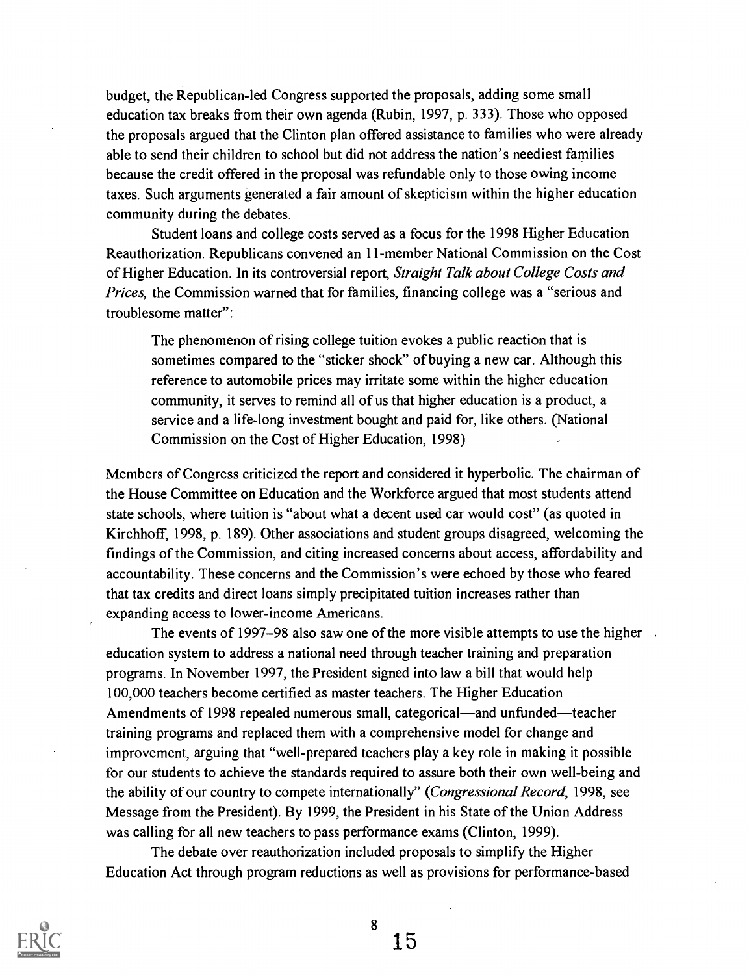budget, the Republican-led Congress supported the proposals, adding some small education tax breaks from their own agenda (Rubin, 1997, p. 333). Those who opposed the proposals argued that the Clinton plan offered assistance to families who were already able to send their children to school but did not address the nation's neediest families because the credit offered in the proposal was refundable only to those owing income taxes. Such arguments generated a fair amount of skepticism within the higher education community during the debates.

Student loans and college costs served as a focus for the 1998 Higher Education Reauthorization. Republicans convened an 11-member National Commission on the Cost of Higher Education. In its controversial report, Straight Talk about College Costs and Prices, the Commission warned that for families, financing college was a "serious and troublesome matter":

The phenomenon of rising college tuition evokes a public reaction that is sometimes compared to the "sticker shock" of buying a new car. Although this reference to automobile prices may irritate some within the higher education community, it serves to remind all of us that higher education is a product, a service and a life-long investment bought and paid for, like others. (National Commission on the Cost of Higher Education, 1998)

Members of Congress criticized the report and considered it hyperbolic. The chairman of the House Committee on Education and the Workforce argued that most students attend state schools, where tuition is "about what a decent used car would cost" (as quoted in Kirchhoff, 1998, p. 189). Other associations and student groups disagreed, welcoming the findings of the Commission, and citing increased concerns about access, affordability and accountability. These concerns and the Commission's were echoed by those who feared that tax credits and direct loans simply precipitated tuition increases rather than expanding access to lower-income Americans.

The events of 1997–98 also saw one of the more visible attempts to use the higher. education system to address a national need through teacher training and preparation programs. In November 1997, the President signed into law a bill that would help 100,000 teachers become certified as master teachers. The Higher Education Amendments of 1998 repealed numerous small, categorical—and unfunded—teacher training programs and replaced them with a comprehensive model for change and improvement, arguing that "well-prepared teachers play a key role in making it possible for our students to achieve the standards required to assure both their own well-being and the ability of our country to compete internationally" (Congressional Record, 1998, see Message from the President). By 1999, the President in his State of the Union Address was calling for all new teachers to pass performance exams (Clinton, 1999).

The debate over reauthorization included proposals to simplify the Higher Education Act through program reductions as well as provisions for performance-based

8

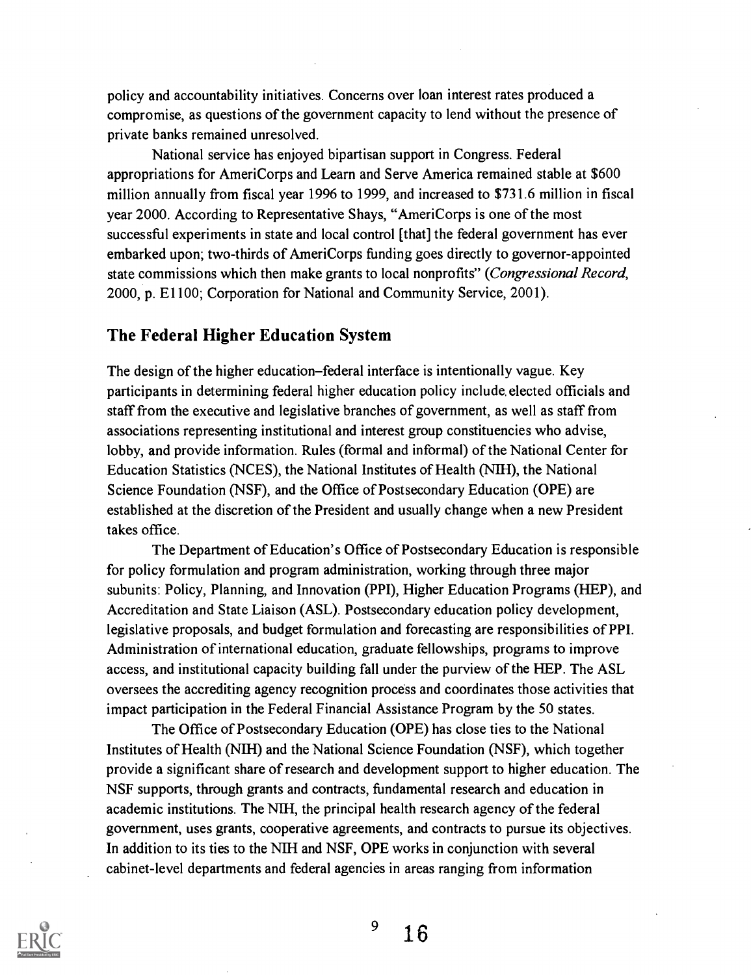policy and accountability initiatives. Concerns over loan interest rates produced a compromise, as questions of the government capacity to lend without the presence of private banks remained unresolved.

National service has enjoyed bipartisan support in Congress. Federal appropriations for AmeriCorps and Learn and Serve America remained stable at \$600 million annually from fiscal year 1996 to 1999, and increased to \$731.6 million in fiscal year 2000. According to Representative Shays, "AmeriCorps is one of the most successful experiments in state and local control [that] the federal government has ever embarked upon; two-thirds of AmeriCorps funding goes directly to governor-appointed state commissions which then make grants to local nonprofits" (Congressional Record, 2000, p. E1100; Corporation for National and Community Service, 2001).

## The Federal Higher Education System

The design of the higher education-federal interface is intentionally vague. Key participants in determining federal higher education policy include, elected officials and staff from the executive and legislative branches of government, as well as staff from associations representing institutional and interest group constituencies who advise, lobby, and provide information. Rules (formal and informal) of the National Center for Education Statistics (NCES), the National Institutes of Health (NIH), the National Science Foundation (NSF), and the Office of Postsecondary Education (OPE) are established at the discretion of the President and usually change when a new President takes office.

The Department of Education's Office of Postsecondary Education is responsible for policy formulation and program administration, working through three major subunits: Policy, Planning, and Innovation (PPI), Higher Education Programs (HEP), and Accreditation and State Liaison (ASL). Postsecondary education policy development, legislative proposals, and budget formulation and forecasting are responsibilities of PPI. Administration of international education, graduate fellowships, programs to improve access, and institutional capacity building fall under the purview of the HEP. The ASL oversees the accrediting agency recognition process and coordinates those activities that impact participation in the Federal Financial Assistance Program by the 50 states.

The Office of Postsecondary Education (OPE) has close ties to the National Institutes of Health (NIH) and the National Science Foundation (NSF), which together provide a significant share of research and development support to higher education. The NSF supports, through grants and contracts, fundamental research and education in academic institutions. The NIH, the principal health research agency of the federal government, uses grants, cooperative agreements, and contracts to pursue its objectives. In addition to its ties to the NIH and NSF, OPE works in conjunction with several cabinet-level departments and federal agencies in areas ranging from information



 $^{9}$  16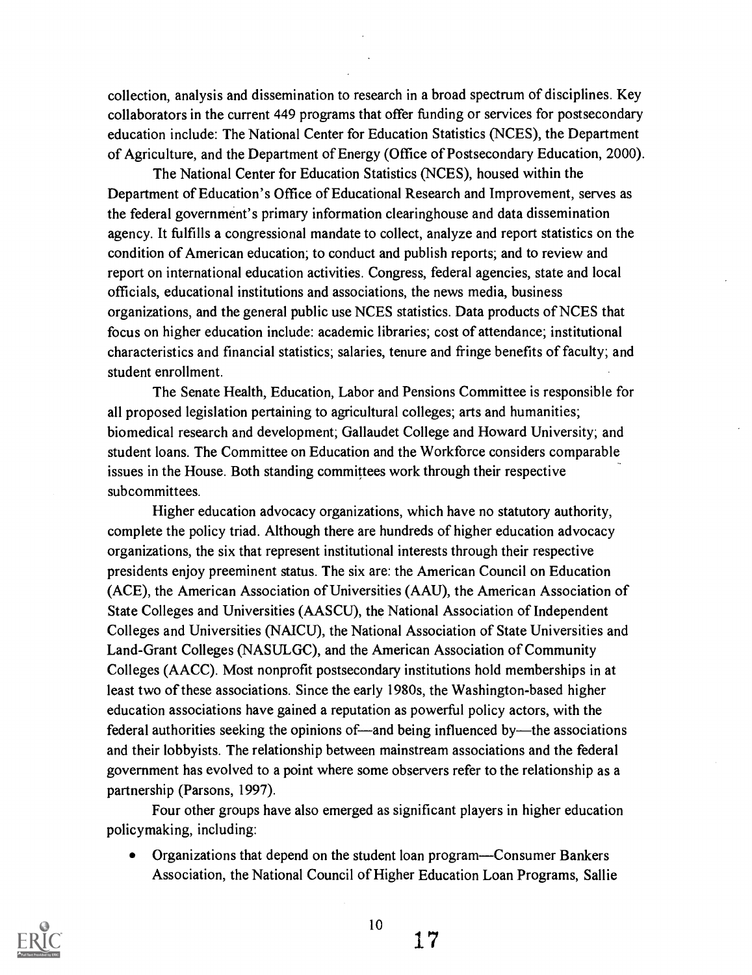collection, analysis and dissemination to research in a broad spectrum of disciplines. Key collaborators in the current 449 programs that offer funding or services for postsecondary education include: The National Center for Education Statistics (NCES), the Department of Agriculture, and the Department of Energy (Office of Postsecondary Education, 2000).

The National Center for Education Statistics (NCES), housed within the Department of Education's Office of Educational Research and Improvement, serves as the federal government's primary information clearinghouse and data dissemination agency. It fulfills a congressional mandate to collect, analyze and report statistics on the condition of American education; to conduct and publish reports; and to review and report on international education activities. Congress, federal agencies, state and local officials, educational institutions and associations, the news media, business organizations, and the general public use NCES statistics. Data products of NCES that focus on higher education include: academic libraries; cost of attendance; institutional characteristics and financial statistics; salaries, tenure and fringe benefits of faculty; and student enrollment.

The Senate Health, Education, Labor and Pensions Committee is responsible for all proposed legislation pertaining to agricultural colleges; arts and humanities; biomedical research and development; Gallaudet College and Howard University; and student loans. The Committee on Education and the Workforce considers comparable issues in the House. Both standing committees work through their respective subcommittees.

Higher education advocacy organizations, which have no statutory authority, complete the policy triad. Although there are hundreds of higher education advocacy organizations, the six that represent institutional interests through their respective presidents enjoy preeminent status. The six are: the American Council on Education (ACE), the American Association of Universities (AAU), the American Association of State Colleges and Universities (AASCU), the National Association of Independent Colleges and Universities (NAICU), the National Association of State Universities and Land-Grant Colleges (NASULGC), and the American Association of Community Colleges (AACC). Most nonprofit postsecondary institutions hold memberships in at least two of these associations. Since the early 1980s, the Washington-based higher education associations have gained a reputation as powerful policy actors, with the federal authorities seeking the opinions of—and being influenced by—the associations and their lobbyists. The relationship between mainstream associations and the federal government has evolved to a point where some observers refer to the relationship as a partnership (Parsons, 1997).

Four other groups have also emerged as significant players in higher education policymaking, including:

Organizations that depend on the student loan program—Consumer Bankers Association, the National Council of Higher Education Loan Programs, Sallie



10

 $17$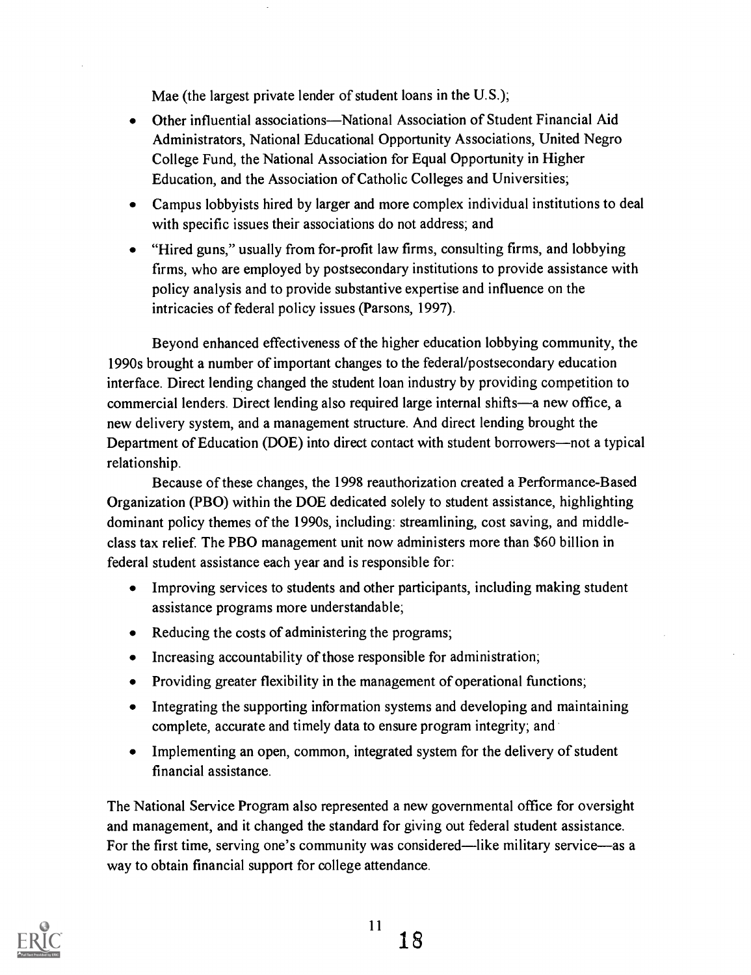Mae (the largest private lender of student loans in the U.S.);

- Other influential associations—National Association of Student Financial Aid  $\bullet$ Administrators, National Educational Opportunity Associations, United Negro College Fund, the National Association for Equal Opportunity in Higher Education, and the Association of Catholic Colleges and Universities;
- Campus lobbyists hired by larger and more complex individual institutions to deal with specific issues their associations do not address; and
- "Hired guns," usually from for-profit law firms, consulting firms, and lobbying firms, who are employed by postsecondary institutions to provide assistance with policy analysis and to provide substantive expertise and influence on the intricacies of federal policy issues (Parsons, 1997).

Beyond enhanced effectiveness of the higher education lobbying community, the 1990s brought a number of important changes to the federal/postsecondary education interface. Direct lending changed the student loan industry by providing competition to commercial lenders. Direct lending also required large internal shifts—a new office, a new delivery system, and a management structure. And direct lending brought the Department of Education (DOE) into direct contact with student borrowers—not a typical relationship.

Because of these changes, the 1998 reauthorization created a Performance-Based Organization (PBO) within the DOE dedicated solely to student assistance, highlighting dominant policy themes of the 1990s, including: streamlining, cost saving, and middleclass tax relief. The PBO management unit now administers more than \$60 billion in federal student assistance each year and is responsible for:

- Improving services to students and other participants, including making student assistance programs more understandable;
- Reducing the costs of administering the programs;
- Increasing accountability of those responsible for administration;
- Providing greater flexibility in the management of operational functions;
- Integrating the supporting information systems and developing and maintaining complete, accurate and timely data to ensure program integrity; and
- Implementing an open, common, integrated system for the delivery of student financial assistance.

The National Service Program also represented a new governmental office for oversight and management, and it changed the standard for giving out federal student assistance. For the first time, serving one's community was considered—like military service—as a way to obtain financial support for college attendance.

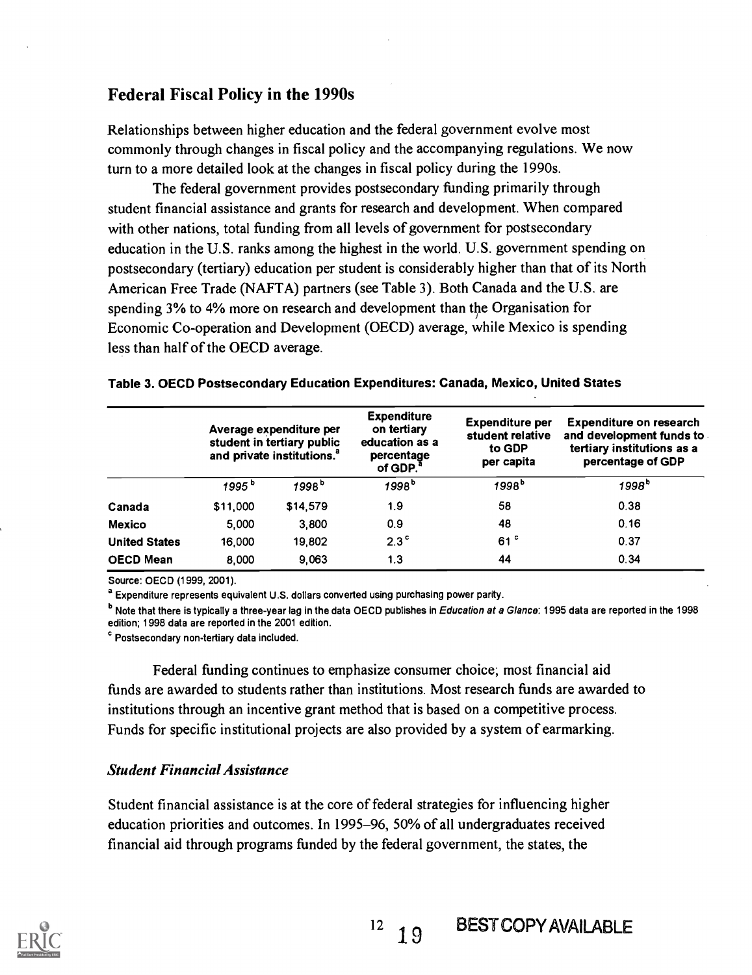# Federal Fiscal Policy in the 1990s

Relationships between higher education and the federal government evolve most commonly through changes in fiscal policy and the accompanying regulations. We now turn to a more detailed look at the changes in fiscal policy during the 1990s.

The federal government provides postsecondary funding primarily through student financial assistance and grants for research and development. When compared with other nations, total funding from all levels of government for postsecondary education in the U.S. ranks among the highest in the world. U.S. government spending on postsecondary (tertiary) education per student is considerably higher than that of its North American Free Trade (NAFTA) partners (see Table 3). Both Canada and the U.S. are spending 3% to 4% more on research and development than the Organisation for Economic Co-operation and Development (OECD) average, while Mexico is spending less than half of the OECD average.

|                      | Average expenditure per<br>student in tertiary public<br>and private institutions. <sup>a</sup> |                   | <b>Expenditure</b><br>on tertiary<br>education as a<br>percentage<br>of GDP. <sup>a</sup> | <b>Expenditure per</b><br>student relative<br>to GDP<br>per capita | <b>Expenditure on research</b><br>and development funds to<br>tertiary institutions as a<br>percentage of GDP |  |
|----------------------|-------------------------------------------------------------------------------------------------|-------------------|-------------------------------------------------------------------------------------------|--------------------------------------------------------------------|---------------------------------------------------------------------------------------------------------------|--|
|                      | 1995 <sup>b</sup>                                                                               | 1998 <sup>b</sup> | 1998 <sup>b</sup>                                                                         | 1998 <sup>b</sup>                                                  | 1998 <sup>b</sup>                                                                                             |  |
| Canada               | \$11,000                                                                                        | \$14,579          | 1.9                                                                                       | 58                                                                 | 0.38                                                                                                          |  |
| <b>Mexico</b>        | 5.000                                                                                           | 3,800             | 0.9                                                                                       | 48                                                                 | 0.16                                                                                                          |  |
| <b>United States</b> | 16,000                                                                                          | 19,802            | $2.3^{\circ}$                                                                             | 61 <sup>c</sup>                                                    | 0.37                                                                                                          |  |
| <b>OECD Mean</b>     | 8,000                                                                                           | 9.063             | 1.3                                                                                       | 44                                                                 | 0.34                                                                                                          |  |

|  | Table 3. OECD Postsecondary Education Expenditures: Canada, Mexico, United States |  |
|--|-----------------------------------------------------------------------------------|--|
|--|-----------------------------------------------------------------------------------|--|

Source: OECD (1999, 2001).

<sup>a</sup> Expenditure represents equivalent U.S. dollars converted using purchasing power parity.

<sup>b</sup> Note that there is typically a three-year lag in the data OECD publishes in Education at a Glance: 1995 data are reported in the 1998 edition; 1998 data are reported in the 2001 edition.

Postsecondary non-tertiary data included.

Federal funding continues to emphasize consumer choice; most financial aid funds are awarded to students rather than institutions. Most research funds are awarded to institutions through an incentive grant method that is based on a competitive process. Funds for specific institutional projects are also provided by a system of earmarking.

#### Student Financial Assistance

Student financial assistance is at the core of federal strategies for influencing higher education priorities and outcomes. In 1995-96, 50% of all undergraduates received financial aid through programs funded by the federal government, the states, the

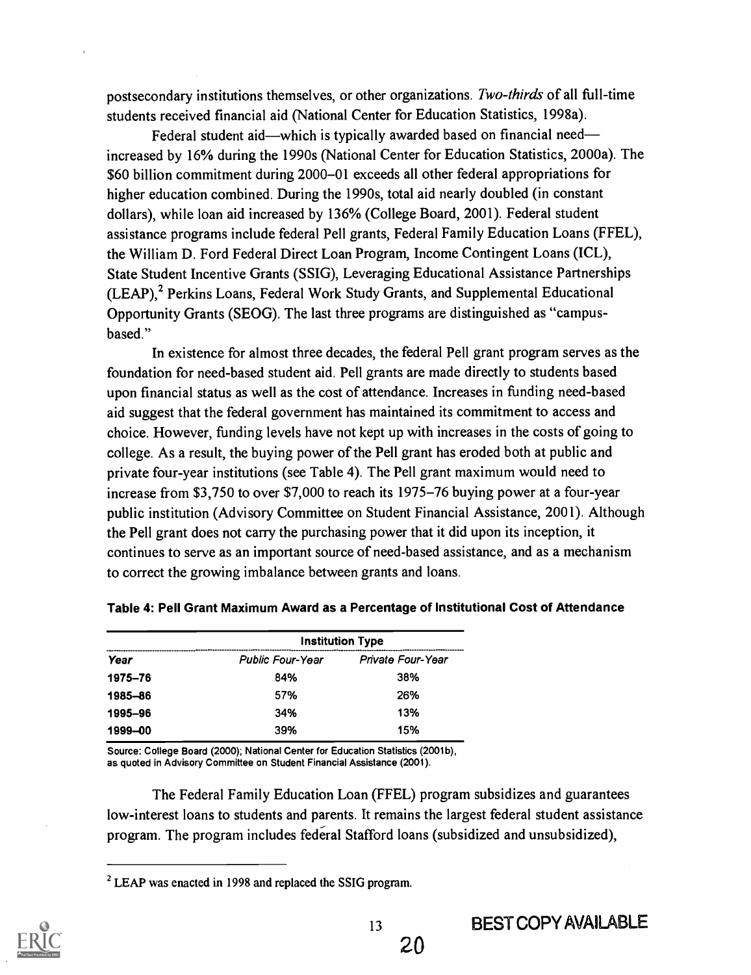postsecondary institutions themselves, or other organizations. Two-thirds of all full-time students received financial aid (National Center for Education Statistics, 1998a).

Federal student aid—which is typically awarded based on financial need increased by 16% during the 1990s (National Center for Education Statistics, 2000a). The \$60 billion commitment during 2000-01 exceeds all other federal appropriations for higher education combined. During the 1990s, total aid nearly doubled (in constant dollars), while loan aid increased by 136% (College Board, 2001). Federal student assistance programs include federal Pell grants, Federal Family Education Loans (FFEL), the William D. Ford Federal Direct Loan Program, Income Contingent Loans (ICL), State Student Incentive Grants (SSIG), Leveraging Educational Assistance Partnerships (LEAP),<sup>2</sup> Perkins Loans, Federal Work Study Grants, and Supplemental Educational Opportunity Grants (SEOG). The last three programs are distinguished as "campusbased."

In existence for almost three decades, the federal Pell grant program serves as the foundation for need-based student aid. Pell grants are made directly to students based upon financial status as well as the cost of attendance. Increases in funding need-based aid suggest that the federal government has maintained its commitment to access and choice. However, funding levels have not kept up with increases in the costs of going to college. As a result, the buying power of the Pell grant has eroded both at public and private four-year institutions (see Table 4). The Pell grant maximum would need to increase from \$3,750 to over \$7,000 to reach its 1975-76 buying power at a four-year public institution (Advisory Committee on Student Financial Assistance, 2001). Although the Pell grant does not carry the purchasing power that it did upon its inception, it continues to serve as an important source of need-based assistance, and as a mechanism to correct the growing imbalance between grants and loans.

|         | <b>Institution Type</b> |                   |  |  |  |  |
|---------|-------------------------|-------------------|--|--|--|--|
| Year    | <b>Public Four-Year</b> | Private Four-Year |  |  |  |  |
| 1975-76 | 84%                     | 38%               |  |  |  |  |
| 1985-86 | 57%                     | 26%               |  |  |  |  |
| 1995-96 | 34%                     | 13%               |  |  |  |  |
| 1999-00 | 39%                     | 15%               |  |  |  |  |

Table 4: Pell Grant Maximum Award as a Percentage of Institutional Cost of Attendance

Source: College Board (2000); National Center for Education Statistics (2001b), as quoted in Advisory Committee on Student Financial Assistance (2001).

The Federal Family Education Loan (FFEL) program subsidizes and guarantees low-interest loans to students and parents. It remains the largest federal student assistance program. The program includes federal Stafford loans (subsidized and unsubsidized),

<sup>&</sup>lt;sup>2</sup> LEAP was enacted in 1998 and replaced the SSIG program.

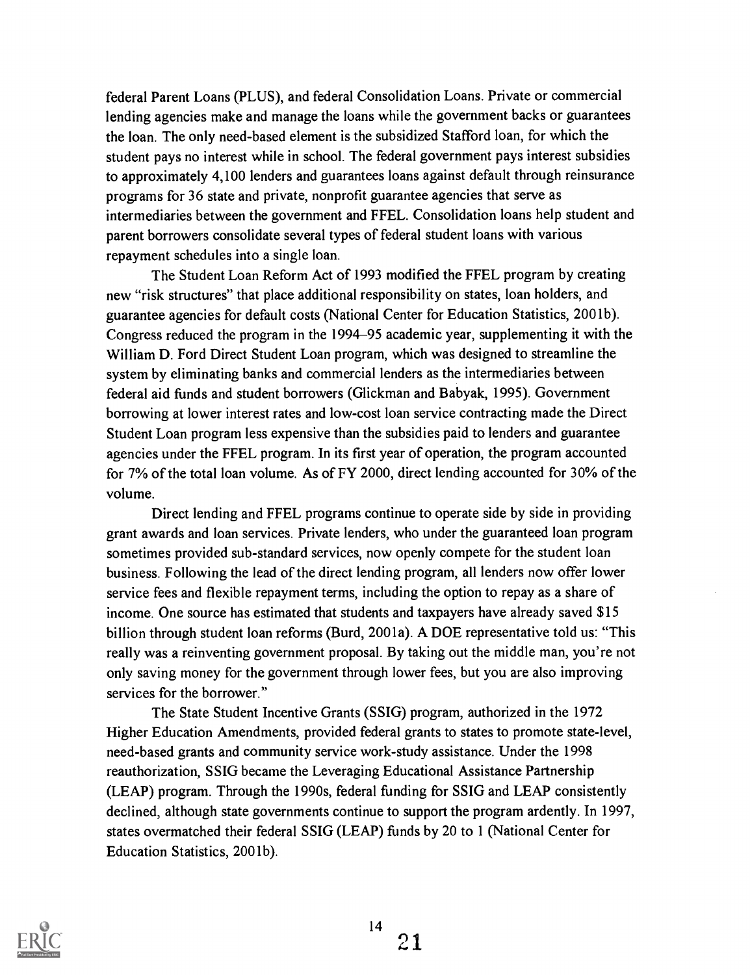federal Parent Loans (PLUS), and federal Consolidation Loans. Private or commercial lending agencies make and manage the loans while the government backs or guarantees the loan. The only need-based element is the subsidized Stafford loan, for which the student pays no interest while in school. The federal government pays interest subsidies to approximately 4,100 lenders and guarantees loans against default through reinsurance programs for 36 state and private, nonprofit guarantee agencies that serve as intermediaries between the government and FFEL. Consolidation loans help student and parent borrowers consolidate several types of federal student loans with various repayment schedules into a single loan.

The Student Loan Reform Act of 1993 modified the FFEL program by creating new "risk structures" that place additional responsibility on states, loan holders, and guarantee agencies for default costs (National Center for Education Statistics, 2001b). Congress reduced the program in the 1994-95 academic year, supplementing it with the William D. Ford Direct Student Loan program, which was designed to streamline the system by eliminating banks and commercial lenders as the intermediaries between federal aid funds and student borrowers (Glickman and Babyak, 1995). Government borrowing at lower interest rates and low-cost loan service contracting made the Direct Student Loan program less expensive than the subsidies paid to lenders and guarantee agencies under the FFEL program. In its first year of operation, the program accounted for 7% of the total loan volume. As of FY 2000, direct lending accounted for 30% of the volume.

Direct lending and FFEL programs continue to operate side by side in providing grant awards and loan services. Private lenders, who under the guaranteed loan program sometimes provided sub-standard services, now openly compete for the student loan business. Following the lead of the direct lending program, all lenders now offer lower service fees and flexible repayment terms, including the option to repay as a share of income. One source has estimated that students and taxpayers have already saved \$15 billion through student loan reforms (Burd, 2001a). A DOE representative told us: "This really was a reinventing government proposal. By taking out the middle man, you're not only saving money for the government through lower fees, but you are also improving services for the borrower."

The State Student Incentive Grants (SSIG) program, authorized in the 1972 Higher Education Amendments, provided federal grants to states to promote state-level, need-based grants and community service work-study assistance. Under the 1998 reauthorization, SSIG became the Leveraging Educational Assistance Partnership (LEAP) program. Through the 1990s, federal funding for SSIG and LEAP consistently declined, although state governments continue to support the program ardently. In 1997, states overmatched their federal SSIG (LEAP) funds by 20 to 1 (National Center for Education Statistics, 2001b).

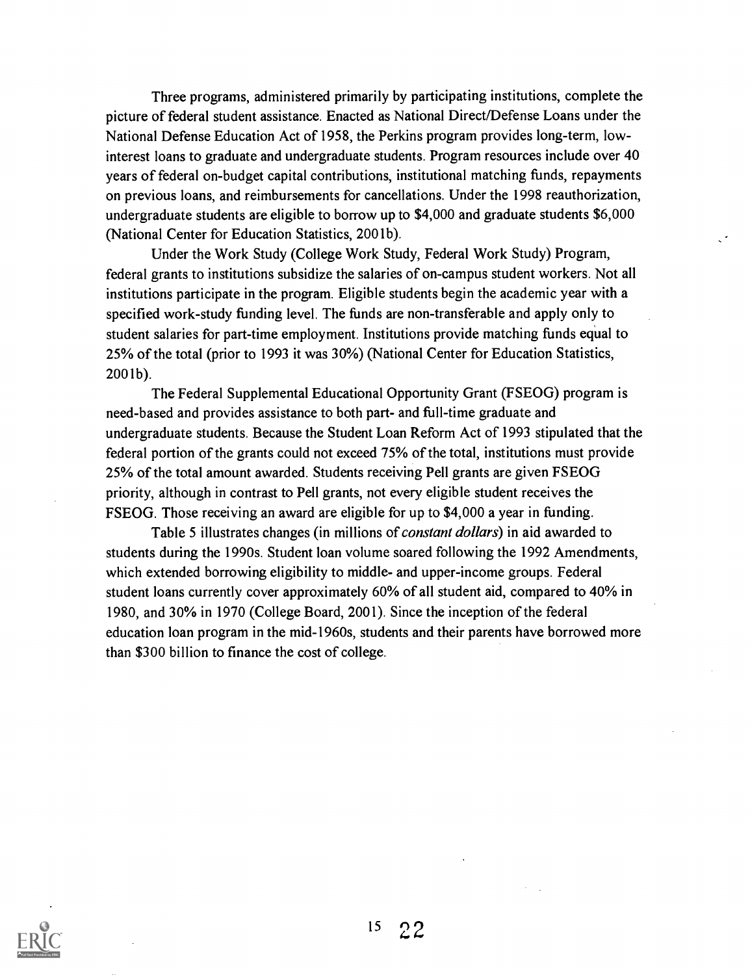Three programs, administered primarily by participating institutions, complete the picture of federal student assistance. Enacted as National Direct/Defense Loans under the National Defense Education Act of 1958, the Perkins program provides long-term, lowinterest loans to graduate and undergraduate students. Program resources include over 40 years of federal on-budget capital contributions, institutional matching funds, repayments on previous loans, and reimbursements for cancellations. Under the 1998 reauthorization, undergraduate students are eligible to borrow up to \$4,000 and graduate students \$6,000 (National Center for Education Statistics, 2001b).

Under the Work Study (College Work Study, Federal Work Study) Program, federal grants to institutions subsidize the salaries of on-campus student workers. Not all institutions participate in the program. Eligible students begin the academic year with a specified work-study funding level. The funds are non-transferable and apply only to student salaries for part-time employment. Institutions provide matching funds equal to 25% of the total (prior to 1993 it was 30%) (National Center for Education Statistics, 2001b).

The Federal Supplemental Educational Opportunity Grant (FSEOG) program is need-based and provides assistance to both part- and full-time graduate and undergraduate students. Because the Student Loan Reform Act of 1993 stipulated that the federal portion of the grants could not exceed 75% of the total, institutions must provide 25% of the total amount awarded. Students receiving Pell grants are given FSEOG priority, although in contrast to Pell grants, not every eligible student receives the FSEOG. Those receiving an award are eligible for up to \$4,000 a year in funding.

Table 5 illustrates changes (in millions of constant dollars) in aid awarded to students during the 1990s. Student loan volume soared following the 1992 Amendments, which extended borrowing eligibility to middle- and upper-income groups. Federal student loans currently cover approximately 60% of all student aid, compared to 40% in 1980, and 30% in 1970 (College Board, 2001). Since the inception of the federal education loan program in the mid-1960s, students and their parents have borrowed more than \$300 billion to finance the cost of college.

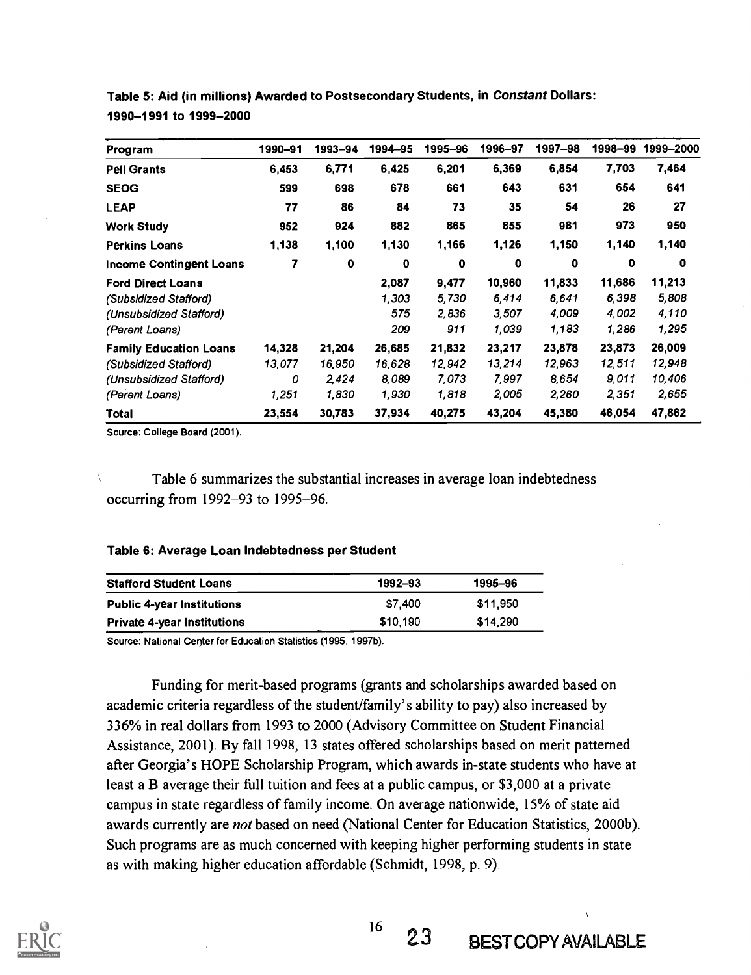| Program                        | 1990-91 | 1993–94     | 1994–95     | 1995-96 | 1996-97 | 1997-98     | 1998–99 | 1999-2000 |
|--------------------------------|---------|-------------|-------------|---------|---------|-------------|---------|-----------|
| <b>Pell Grants</b>             | 6,453   | 6,771       | 6,425       | 6,201   | 6,369   | 6,854       | 7,703   | 7,464     |
| <b>SEOG</b>                    | 599     | 698         | 678         | 661     | 643     | 631         | 654     | 641       |
| <b>LEAP</b>                    | 77      | 86          | 84          | 73      | 35      | 54          | 26      | 27        |
| <b>Work Study</b>              | 952     | 924         | 882         | 865     | 855     | 981         | 973     | 950       |
| <b>Perkins Loans</b>           | 1,138   | 1,100       | 1,130       | 1,166   | 1,126   | 1,150       | 1,140   | 1,140     |
| <b>Income Contingent Loans</b> |         | $\mathbf 0$ | $\mathbf 0$ | 0       | 0       | $\mathbf 0$ | 0       | 0         |
| <b>Ford Direct Loans</b>       |         |             | 2,087       | 9,477   | 10,960  | 11,833      | 11,686  | 11,213    |
| (Subsidized Stafford)          |         |             | 1,303       | 5.730   | 6,414   | 6,641       | 6,398   | 5,808     |
| (Unsubsidized Stafford)        |         |             | 575         | 2,836   | 3,507   | 4,009       | 4,002   | 4,110     |
| (Parent Loans)                 |         |             | 209         | 911     | 1.039   | 1,183       | 1,286   | 1,295     |
| <b>Family Education Loans</b>  | 14,328  | 21,204      | 26,685      | 21,832  | 23,217  | 23,878      | 23,873  | 26,009    |
| (Subsidized Stafford)          | 13,077  | 16,950      | 16,628      | 12,942  | 13,214  | 12,963      | 12,511  | 12,948    |
| (Unsubsidized Stafford)        | 0       | 2,424       | 8,089       | 7.073   | 7.997   | 8.654       | 9.011   | 10,406    |
| (Parent Loans)                 | 1,251   | 1,830       | 1,930       | 1,818   | 2,005   | 2,260       | 2,351   | 2,655     |
| Total                          | 23,554  | 30,783      | 37,934      | 40,275  | 43,204  | 45,380      | 46,054  | 47,862    |

Table 5: Aid (in millions) Awarded to Postsecondary Students, in Constant Dollars: 1990-1991 to 1999-2000

Source: College Board (2001).

Table 6 summarizes the substantial increases in average loan indebtedness occurring from 1992-93 to 1995-96.

#### Table 6: Average Loan Indebtedness per Student

| <b>Stafford Student Loans</b>      | 1992–93  | 1995-96  |
|------------------------------------|----------|----------|
| <b>Public 4-year Institutions</b>  | \$7.400  | \$11.950 |
| <b>Private 4-year Institutions</b> | \$10,190 | \$14.290 |

Source: National Center for Education Statistics (1995, 1997b).

Funding for merit-based programs (grants and scholarships awarded based on academic criteria regardless of the student/family's ability to pay) also increased by 336% in real dollars from 1993 to 2000 (Advisory Committee on Student Financial Assistance, 2001). By fall 1998, 13 states offered scholarships based on merit patterned after Georgia's HOPE Scholarship Program, which awards in-state students who have at least a B average their full tuition and fees at a public campus, or \$3,000 at a private campus in state regardless of family income. On average nationwide, 15% of state aid awards currently are *not* based on need (National Center for Education Statistics, 2000b). Such programs are as much concerned with keeping higher performing students in state as with making higher education affordable (Schmidt, 1998, p. 9).



 $^{16}$  23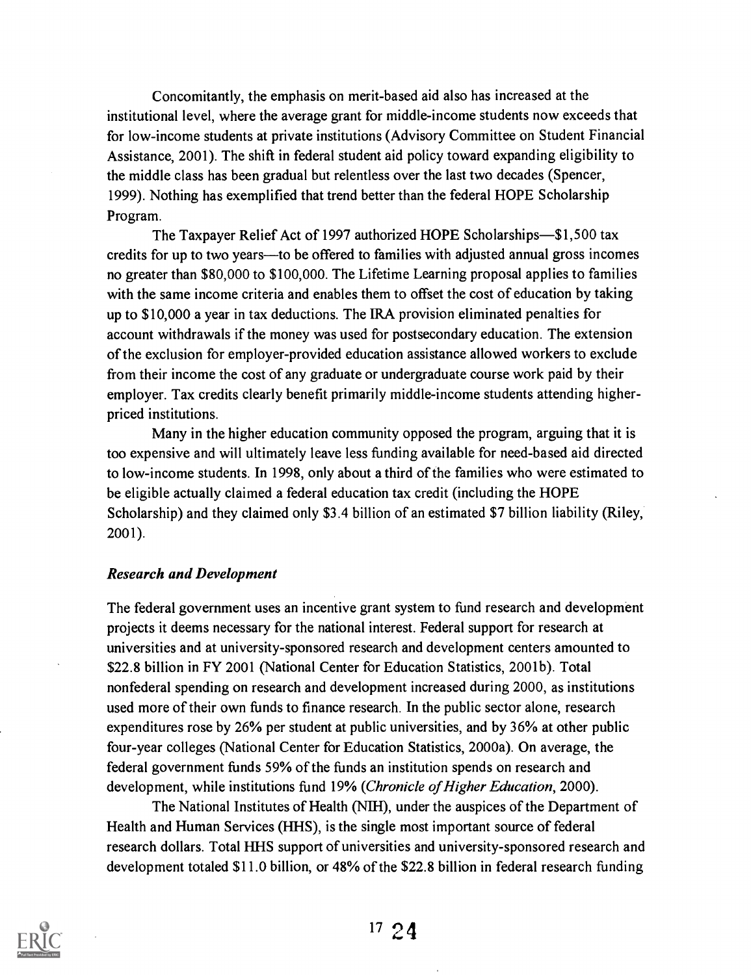Concomitantly, the emphasis on merit-based aid also has increased at the institutional level, where the average grant for middle-income students now exceeds that for low-income students at private institutions (Advisory Committee on Student Financial Assistance, 2001). The shift in federal student aid policy toward expanding eligibility to the middle class has been gradual but relentless over the last two decades (Spencer, 1999). Nothing has exemplified that trend better than the federal HOPE Scholarship Program.

The Taxpayer Relief Act of 1997 authorized HOPE Scholarships-\$1,500 tax credits for up to two years—to be offered to families with adjusted annual gross incomes no greater than \$80,000 to \$100,000. The Lifetime Learning proposal applies to families with the same income criteria and enables them to offset the cost of education by taking up to \$10,000 a year in tax deductions. The IRA provision eliminated penalties for account withdrawals if the money was used for postsecondary education. The extension of the exclusion for employer-provided education assistance allowed workers to exclude from their income the cost of any graduate or undergraduate course work paid by their employer. Tax credits clearly benefit primarily middle-income students attending higherpriced institutions.

Many in the higher education community opposed the program, arguing that it is too expensive and will ultimately leave less funding available for need-based aid directed to low-income students. In 1998, only about a third of the families who were estimated to be eligible actually claimed a federal education tax credit (including the HOPE Scholarship) and they claimed only \$3.4 billion of an estimated \$7 billion liability (Riley, 2001).

#### Research and Development

The federal government uses an incentive grant system to fund research and development projects it deems necessary for the national interest. Federal support for research at universities and at university-sponsored research and development centers amounted to \$22.8 billion in FY 2001 (National Center for Education Statistics, 2001b). Total nonfederal spending on research and development increased during 2000, as institutions used more of their own funds to finance research. In the public sector alone, research expenditures rose by 26% per student at public universities, and by 36% at other public four-year colleges (National Center for Education Statistics, 2000a). On average, the federal government funds 59% of the funds an institution spends on research and development, while institutions fund 19% (Chronicle of Higher Education, 2000).

The National Institutes of Health (NIH), under the auspices of the Department of Health and Human Services (HHS), is the single most important source of federal research dollars. Total HHS support of universities and university-sponsored research and development totaled \$11.0 billion, or 48% of the \$22.8 billion in federal research funding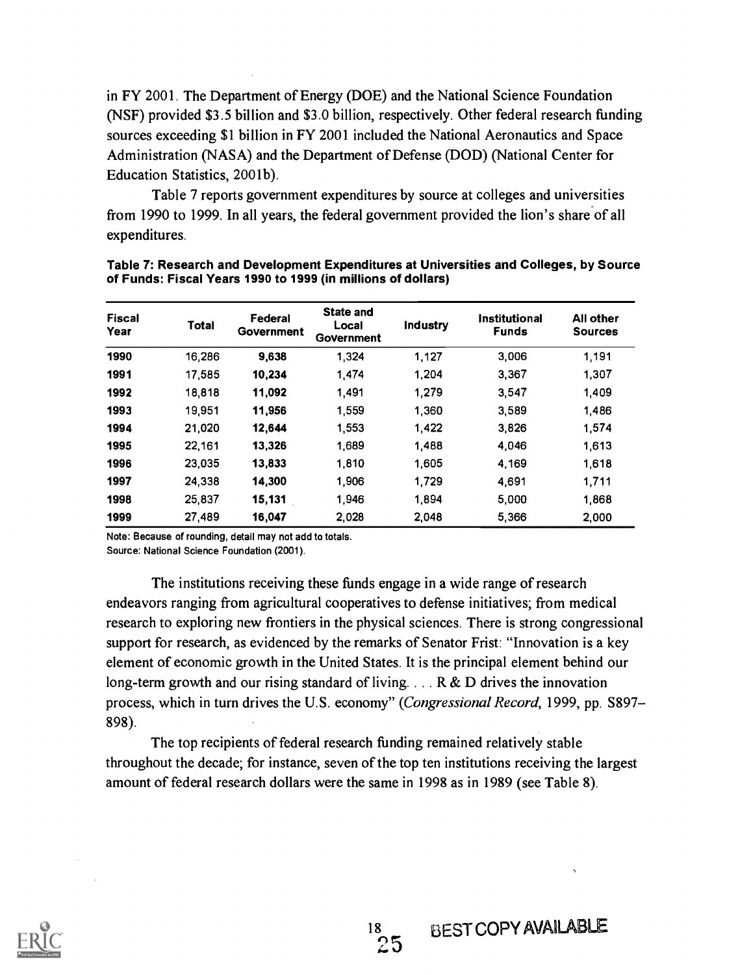in FY 2001. The Department of Energy (DOE) and the National Science Foundation (NSF) provided \$3.5 billion and \$3.0 billion, respectively. Other federal research funding sources exceeding \$1 billion in FY 2001 included the National Aeronautics and Space Administration (NASA) and the Department of Defense (DOD) (National Center for Education Statistics, 2001b).

Table 7 reports government expenditures by source at colleges and universities from 1990 to 1999. In all years, the federal government provided the lion's share of all expenditures.

| <b>Fiscal</b><br>Year | Total  | Federal<br>Government | State and<br>Local<br>Government | Industry | <b>Institutional</b><br><b>Funds</b> | All other<br><b>Sources</b> |
|-----------------------|--------|-----------------------|----------------------------------|----------|--------------------------------------|-----------------------------|
| 1990                  | 16,286 | 9,638                 | 1,324                            | 1,127    | 3,006                                | 1,191                       |
| 1991                  | 17,585 | 10.234                | 1,474                            | 1,204    | 3,367                                | 1,307                       |
| 1992                  | 18,818 | 11,092                | 1,491                            | 1,279    | 3.547                                | 1,409                       |
| 1993                  | 19,951 | 11,956                | 1,559                            | 1,360    | 3,589                                | 1,486                       |
| 1994                  | 21,020 | 12,644                | 1,553                            | 1,422    | 3,826                                | 1,574                       |
| 1995                  | 22,161 | 13,326                | 1,689                            | 1,488    | 4,046                                | 1,613                       |
| 1996                  | 23,035 | 13,833                | 1,810                            | 1.605    | 4,169                                | 1,618                       |
| 1997                  | 24.338 | 14,300                | 1,906                            | 1,729    | 4,691                                | 1,711                       |
| 1998                  | 25,837 | 15,131                | 1.946                            | 1.894    | 5,000                                | 1,868                       |
| 1999                  | 27,489 | 16,047                | 2,028                            | 2,048    | 5,366                                | 2,000                       |

Table 7: Research and Development Expenditures at Universities and Colleges, by Source of Funds: Fiscal Years 1990 to 1999 (in millions of dollars)

Note: Because of rounding, detail may not add to totals.

Source: National Science Foundation (2001).

The institutions receiving these funds engage in a wide range of research endeavors ranging from agricultural cooperatives to defense initiatives; from medical research to exploring new frontiers in the physical sciences. There is strong congressional support for research, as evidenced by the remarks of Senator Frist: "Innovation is a key element of economic growth in the United States. It is the principal element behind our long-term growth and our rising standard of living.  $\ldots$  R & D drives the innovation process, which in turn drives the U.S. economy" (Congressional Record, 1999, pp. S897-898).

The top recipients of federal research funding remained relatively stable throughout the decade; for instance, seven of the top ten institutions receiving the largest amount of federal research dollars were the same in 1998 as in 1989 (see Table 8).

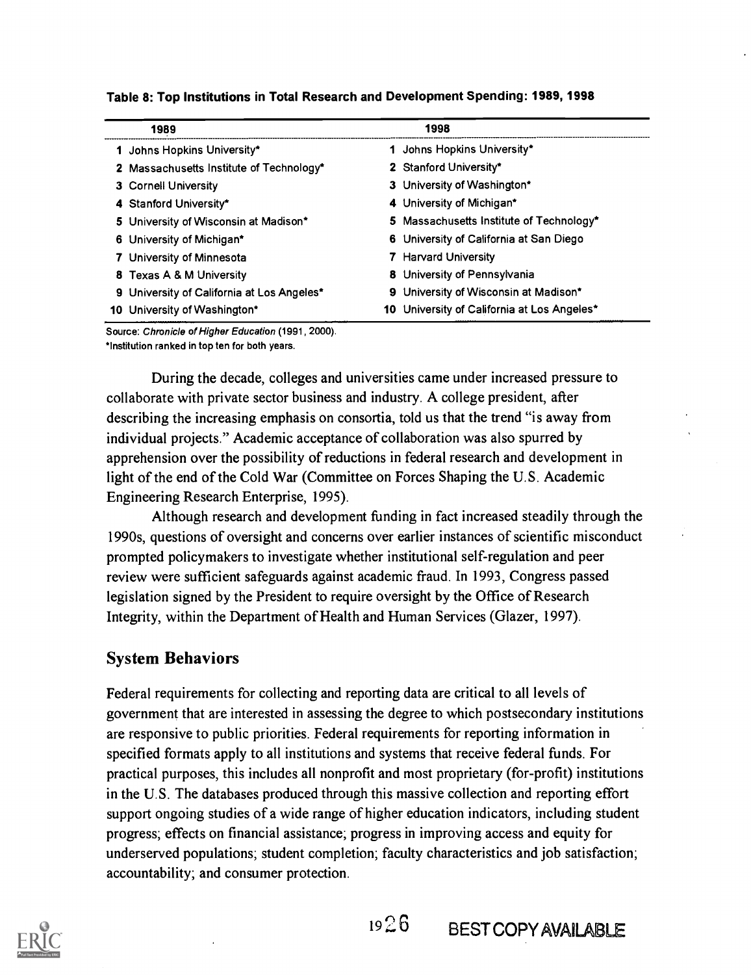| 1989                                       | 1998                                        |
|--------------------------------------------|---------------------------------------------|
| 1 Johns Hopkins University*                | 1 Johns Hopkins University*                 |
| 2 Massachusetts Institute of Technology*   | 2 Stanford University*                      |
| 3 Cornell University                       | 3 University of Washington*                 |
| 4 Stanford University*                     | 4 University of Michigan*                   |
| 5 University of Wisconsin at Madison*      | 5 Massachusetts Institute of Technology*    |
| 6 University of Michigan*                  | 6 University of California at San Diego     |
| 7 University of Minnesota                  | 7 Harvard University                        |
| 8 Texas A & M University                   | <b>8</b> University of Pennsylvania         |
| 9 University of California at Los Angeles* | 9 University of Wisconsin at Madison*       |
| 10 University of Washington*               | 10 University of California at Los Angeles* |

Table 8: Top Institutions in Total Research and Development Spending: 1989, 1998

Source: Chronicle of Higher Education (1991, 2000).

\*Institution ranked in top ten for both years.

During the decade, colleges and universities came under increased pressure to collaborate with private sector business and industry. A college president, after describing the increasing emphasis on consortia, told us that the trend "is away from individual projects." Academic acceptance of collaboration was also spurred by apprehension over the possibility of reductions in federal research and development in light of the end of the Cold War (Committee on Forces Shaping the U.S. Academic Engineering Research Enterprise, 1995).

Although research and development funding in fact increased steadily through the 1990s, questions of oversight and concerns over earlier instances of scientific misconduct prompted policymakers to investigate whether institutional self-regulation and peer review were sufficient safeguards against academic fraud. In 1993, Congress passed legislation signed by the President to require oversight by the Office of Research Integrity, within the Department of Health and Human Services (Glazer, 1997).

# System Behaviors

Federal requirements for collecting and reporting data are critical to all levels of government that are interested in assessing the degree to which postsecondary institutions are responsive to public priorities. Federal requirements for reporting information in specified formats apply to all institutions and systems that receive federal funds. For practical purposes, this includes all nonprofit and most proprietary (for-profit) institutions in the U.S. The databases produced through this massive collection and reporting effort support ongoing studies of a wide range of higher education indicators, including student progress; effects on financial assistance; progress in improving access and equity for underserved populations; student completion; faculty characteristics and job satisfaction; accountability; and consumer protection.

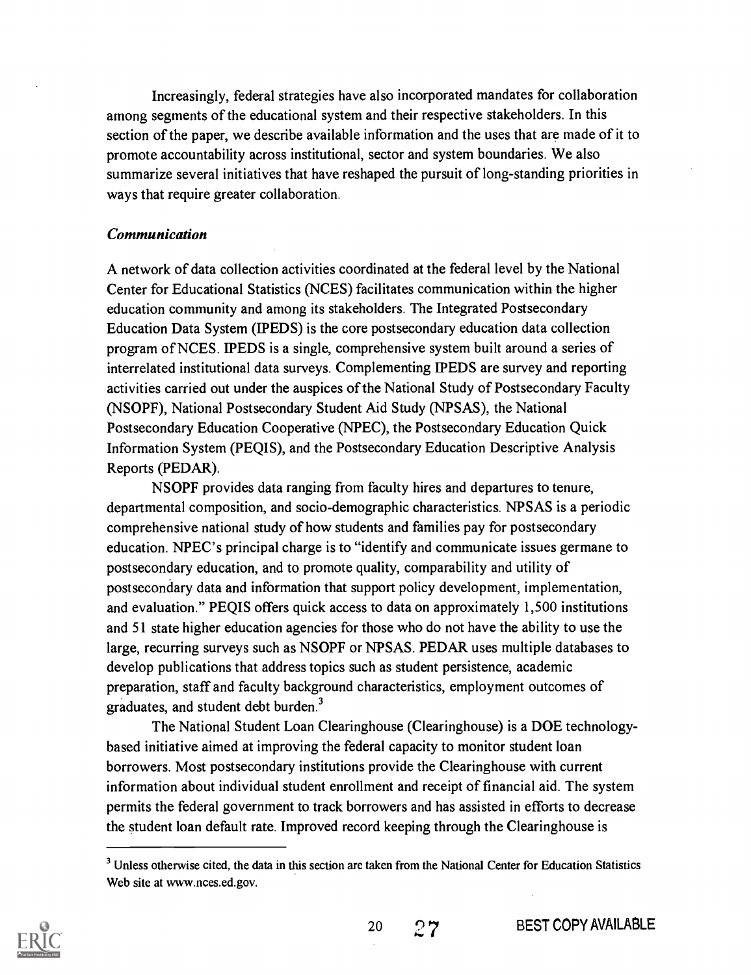Increasingly, federal strategies have also incorporated mandates for collaboration among segments of the educational system and their respective stakeholders. In this section of the paper, we describe available information and the uses that are made of it to promote accountability across institutional, sector and system boundaries. We also summarize several initiatives that have reshaped the pursuit of long-standing priorities in ways that require greater collaboration.

#### Communication

A network of data collection activities coordinated at the federal level by the National Center for Educational Statistics (NCES) facilitates communication within the higher education community and among its stakeholders. The Integrated Postsecondary Education Data System ( IPEDS) is the core postsecondary education data collection program of NCES. IPEDS is a single, comprehensive system built around a series of interrelated institutional data surveys. Complementing IPEDS are survey and reporting activities carried out under the auspices of the National Study of Postsecondary Faculty (NSOPF), National Postsecondary Student Aid Study (NPSAS), the National Postsecondary Education Cooperative (NPEC), the Postsecondary Education Quick Information System (PEQIS), and the Postsecondary Education Descriptive Analysis Reports (PEDAR).

NSOPF provides data ranging from faculty hires and departures to tenure, departmental composition, and socio-demographic characteristics. NPSAS is a periodic comprehensive national study of how students and families pay for postsecondary education. NPEC's principal charge is to "identify and communicate issues germane to postsecondary education, and to promote quality, comparability and utility of postsecondary data and information that support policy development, implementation, and evaluation." PEQIS offers quick access to data on approximately 1,500 institutions and 51 state higher education agencies for those who do not have the ability to use the large, recurring surveys such as NSOPF or NPSAS. PEDAR uses multiple databases to develop publications that address topics such as student persistence, academic preparation, staff and faculty background characteristics, employment outcomes of graduates, and student debt burden.3

The National Student Loan Clearinghouse (Clearinghouse) is a DOE technologybased initiative aimed at improving the federal capacity to monitor student loan borrowers. Most postsecondary institutions provide the Clearinghouse with current information about individual student enrollment and receipt of financial aid. The system permits the federal government to track borrowers and has assisted in efforts to decrease the student loan default rate. Improved record keeping through the Clearinghouse is

<sup>&</sup>lt;sup>3</sup> Unless otherwise cited, the data in this section are taken from the National Center for Education Statistics Web site at www.nces.ed.gov.

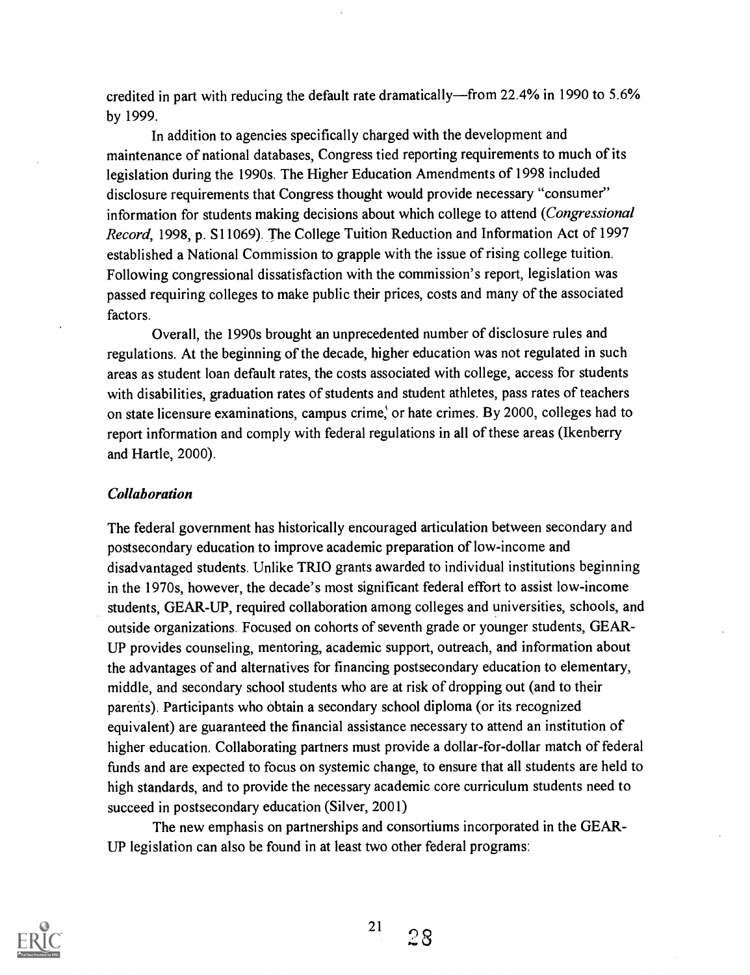credited in part with reducing the default rate dramatically—from 22.4% in 1990 to 5.6% by 1999.

In addition to agencies specifically charged with the development and maintenance of national databases, Congress tied reporting requirements to much of its legislation during the 1990s. The Higher Education Amendments of 1998 included disclosure requirements that Congress thought would provide necessary "consumer" information for students making decisions about which college to attend (Congressional Record, 1998, p. S11069). The College Tuition Reduction and Information Act of 1997 established a National Commission to grapple with the issue of rising college tuition. Following congressional dissatisfaction with the commission's report, legislation was passed requiring colleges to make public their prices, costs and many of the associated factors.

Overall, the 1990s brought an unprecedented number of disclosure rules and regulations. At the beginning of the decade, higher education was not regulated in such areas as student loan default rates, the costs associated with college, access for students with disabilities, graduation rates of students and student athletes, pass rates of teachers on state licensure examinations, campus crime, or hate crimes. By 2000, colleges had to report information and comply with federal regulations in all of these areas (Ikenberry and Hartle, 2000).

#### Collaboration

The federal government has historically encouraged articulation between secondary and postsecondary education to improve academic preparation of low-income and disadvantaged students. Unlike TRIO grants awarded to individual institutions beginning in the 1970s, however, the decade's most significant federal effort to assist low-income students, GEAR-UP, required collaboration among colleges and universities, schools, and outside organizations. Focused on cohorts of seventh grade or younger students, GEAR-UP provides counseling, mentoring, academic support, outreach, and information about the advantages of and alternatives for financing postsecondary education to elementary, middle, and secondary school students who are at risk of dropping out (and to their parents). Participants who obtain a secondary school diploma (or its recognized equivalent) are guaranteed the financial assistance necessary to attend an institution of higher education. Collaborating partners must provide a dollar-for-dollar match of federal funds and are expected to focus on systemic change, to ensure that all students are held to high standards, and to provide the necessary academic core curriculum students need to succeed in postsecondary education (Silver, 2001)

The new emphasis on partnerships and consortiums incorporated in the GEAR-UP legislation can also be found in at least two other federal programs:

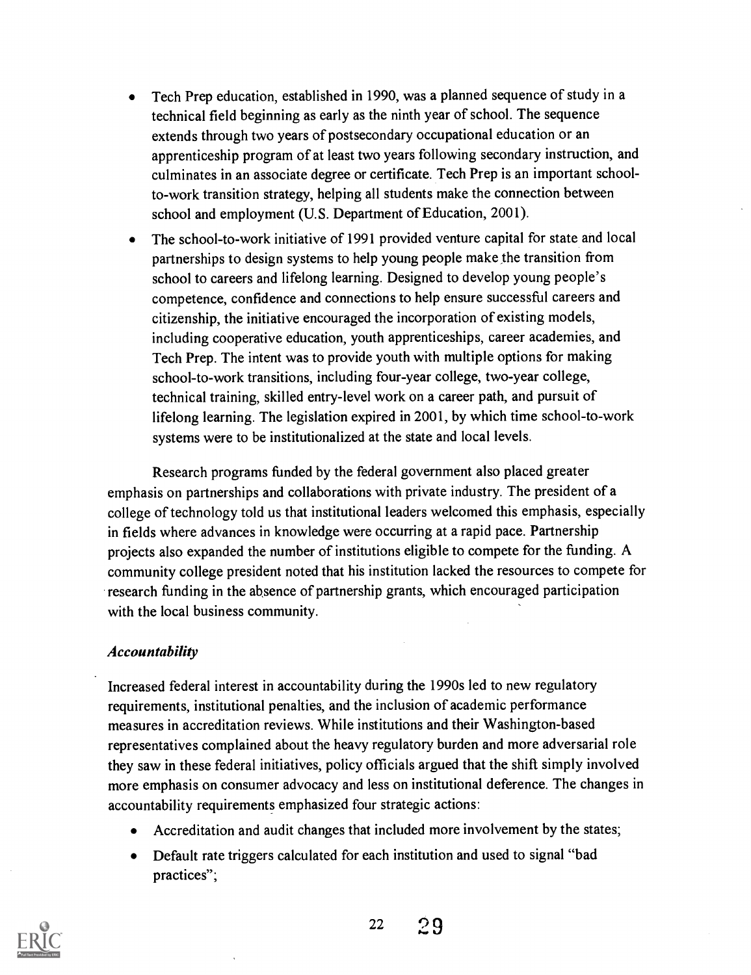- Tech Prep education, established in 1990, was a planned sequence of study in a technical field beginning as early as the ninth year of school. The sequence extends through two years of postsecondary occupational education or an apprenticeship program of at least two years following secondary instruction, and culminates in an associate degree or certificate. Tech Prep is an important schoolto-work transition strategy, helping all students make the connection between school and employment (U.S. Department of Education, 2001).
- The school-to-work initiative of 1991 provided venture capital for state and local partnerships to design systems to help young people make the transition from school to careers and lifelong learning. Designed to develop young people's competence, confidence and connections to help ensure successful careers and citizenship, the initiative encouraged the incorporation of existing models, including cooperative education, youth apprenticeships, career academies, and Tech Prep. The intent was to provide youth with multiple options for making school-to-work transitions, including four-year college, two-year college, technical training, skilled entry-level work on a career path, and pursuit of lifelong learning. The legislation expired in 2001, by which time school-to-work systems were to be institutionalized at the state and local levels.

Research programs funded by the federal government also placed greater emphasis on partnerships and collaborations with private industry. The president of a college of technology told us that institutional leaders welcomed this emphasis, especially in fields where advances in knowledge were occurring at a rapid pace. Partnership projects also expanded the number of institutions eligible to compete for the funding. A community college president noted that his institution lacked the resources to compete for research funding in the absence of partnership grants, which encouraged participation with the local business community.

#### Accountability

Increased federal interest in accountability during the 1990s led to new regulatory requirements, institutional penalties, and the inclusion of academic performance measures in accreditation reviews. While institutions and their Washington-based representatives complained about the heavy regulatory burden and more adversarial role they saw in these federal initiatives, policy officials argued that the shift simply involved more emphasis on consumer advocacy and less on institutional deference. The changes in accountability requirements emphasized four strategic actions:

- Accreditation and audit changes that included more involvement by the states;
- $\bullet$ Default rate triggers calculated for each institution and used to signal "bad practices";

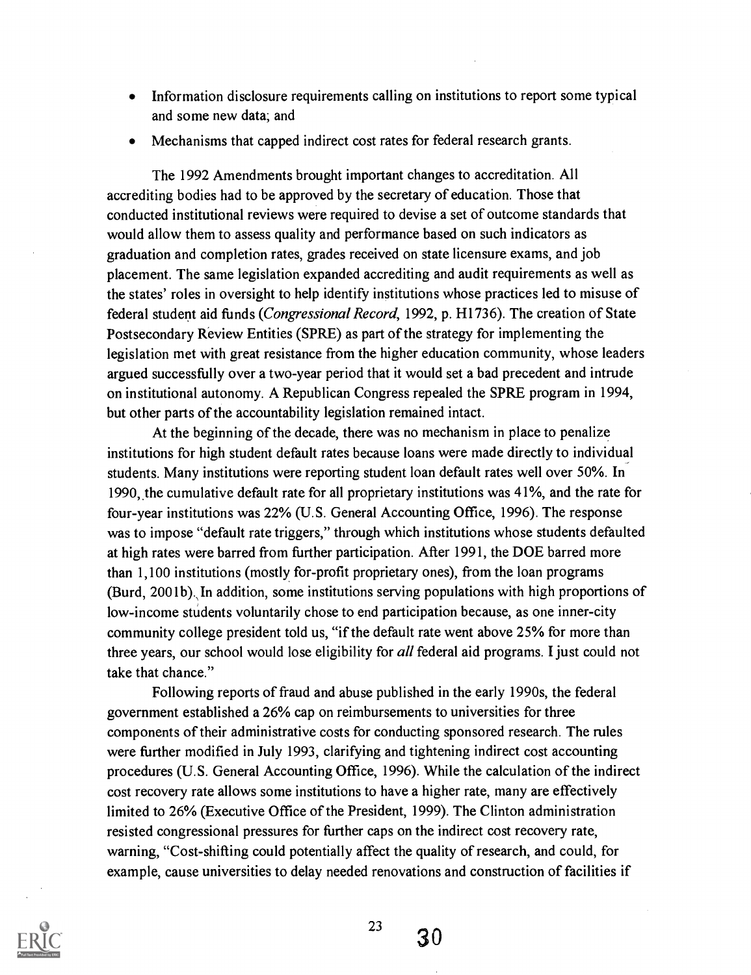- Information disclosure requirements calling on institutions to report some typical and some new data; and
- Mechanisms that capped indirect cost rates for federal research grants.

The 1992 Amendments brought important changes to accreditation. All accrediting bodies had to be approved by the secretary of education. Those that conducted institutional reviews were required to devise a set of outcome standards that would allow them to assess quality and performance based on such indicators as graduation and completion rates, grades received on state licensure exams, and job placement. The same legislation expanded accrediting and audit requirements as well as the states' roles in oversight to help identify institutions whose practices led to misuse of federal student aid funds (Congressional Record, 1992, p. H1736). The creation of State Postsecondary Review Entities (SPRE) as part of the strategy for implementing the legislation met with great resistance from the higher education community, whose leaders argued successfully over a two-year period that it would set a bad precedent and intrude on institutional autonomy. A Republican Congress repealed the SPRE program in 1994, but other parts of the accountability legislation remained intact.

At the beginning of the decade, there was no mechanism in place to penalize institutions for high student default rates because loans were made directly to individual students. Many institutions were reporting student loan default rates well over 50%. In 1990, the cumulative default rate for all proprietary institutions was 41%, and the rate for four-year institutions was 22% (U.S. General Accounting Office, 1996). The response was to impose "default rate triggers," through which institutions whose students defaulted at high rates were barred from further participation. After 1991, the DOE barred more than 1,100 institutions (mostly for-profit proprietary ones), from the loan programs (Burd, 2001b). In addition, some institutions serving populations with high proportions of low-income students voluntarily chose to end participation because, as one inner-city community college president told us, "if the default rate went above 25% for more than three years, our school would lose eligibility for *all* federal aid programs. I just could not take that chance."

Following reports of fraud and abuse published in the early 1990s, the federal government established a 26% cap on reimbursements to universities for three components of their administrative costs for conducting sponsored research. The rules were further modified in July 1993, clarifying and tightening indirect cost accounting procedures (U.S. General Accounting Office, 1996). While the calculation of the indirect cost recovery rate allows some institutions to have a higher rate, many are effectively limited to 26% (Executive Office of the President, 1999). The Clinton administration resisted congressional pressures for further caps on the indirect cost recovery rate, warning, "Cost-shifting could potentially affect the quality of research, and could, for example, cause universities to delay needed renovations and construction of facilities if



23

30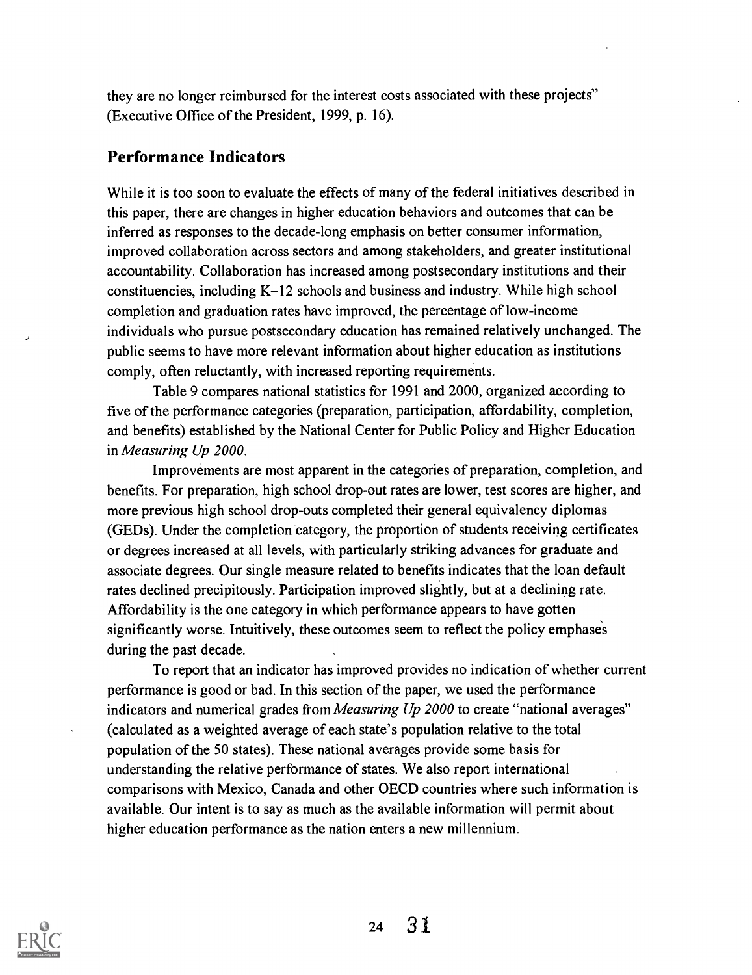they are no longer reimbursed for the interest costs associated with these projects" (Executive Office of the President, 1999, p. 16).

### Performance Indicators

While it is too soon to evaluate the effects of many of the federal initiatives described in this paper, there are changes in higher education behaviors and outcomes that can be inferred as responses to the decade-long emphasis on better consumer information, improved collaboration across sectors and among stakeholders, and greater institutional accountability. Collaboration has increased among postsecondary institutions and their constituencies, including K-12 schools and business and industry. While high school completion and graduation rates have improved, the percentage of low-income individuals who pursue postsecondary education has remained relatively unchanged. The public seems to have more relevant information about higher education as institutions comply, often reluctantly, with increased reporting requirements.

Table 9 compares national statistics for 1991 and 2000, organized according to five of the performance categories (preparation, participation, affordability, completion, and benefits) established by the National Center for Public Policy and Higher Education in Measuring Up 2000.

Improvements are most apparent in the categories of preparation, completion, and benefits. For preparation, high school drop-out rates are lower, test scores are higher, and more previous high school drop-outs completed their general equivalency diplomas (GEDs). Under the completion category, the proportion of students receiving certificates or degrees increased at all levels, with particularly striking advances for graduate and associate degrees. Our single measure related to benefits indicates that the loan default rates declined precipitously. Participation improved slightly, but at a declining rate. Affordability is the one category in which performance appears to have gotten significantly worse. Intuitively, these outcomes seem to reflect the policy emphases during the past decade.

To report that an indicator has improved provides no indication of whether current performance is good or bad. In this section of the paper, we used the performance indicators and numerical grades from *Measuring Up 2000* to create "national averages" (calculated as a weighted average of each state's population relative to the total population of the 50 states). These national averages provide some basis for understanding the relative performance of states. We also report international comparisons with Mexico, Canada and other OECD countries where such information is available. Our intent is to say as much as the available information will permit about higher education performance as the nation enters a new millennium.

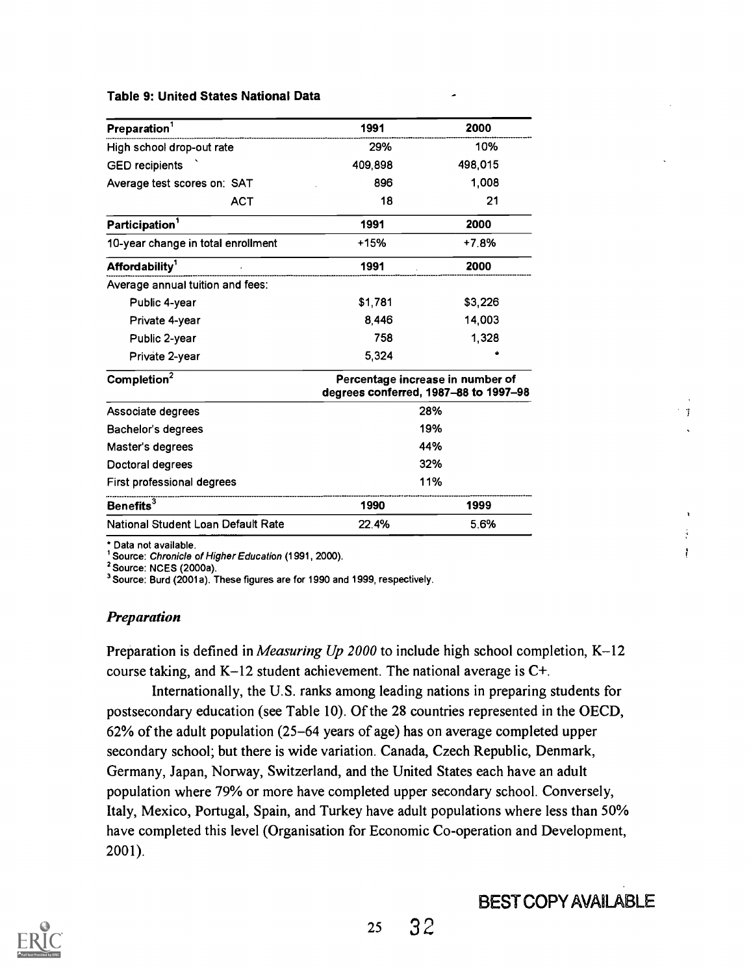#### Table 9: United States National Data

| Preparation <sup>1</sup>           | 1991                                                                      | 2000    |
|------------------------------------|---------------------------------------------------------------------------|---------|
| High school drop-out rate          | 29%                                                                       | 10%     |
| <b>GED</b> recipients              | 409,898                                                                   | 498,015 |
| Average test scores on: SAT        | 896                                                                       | 1,008   |
| <b>ACT</b>                         | 18                                                                        | 21      |
| Participation <sup>1</sup>         | 1991                                                                      | 2000    |
| 10-year change in total enrollment | +15%                                                                      | $+7.8%$ |
| Affordability <sup>1</sup>         | 1991                                                                      | 2000    |
| Average annual tuition and fees:   |                                                                           |         |
| Public 4-year                      | \$1,781                                                                   | \$3,226 |
| Private 4-year                     | 8,446                                                                     | 14,003  |
| Public 2-year                      | 758                                                                       | 1,328   |
| Private 2-year                     | 5,324                                                                     |         |
| Completion <sup>2</sup>            | Percentage increase in number of<br>degrees conferred, 1987-88 to 1997-98 |         |
| Associate degrees                  |                                                                           | 28%     |
| Bachelor's degrees                 |                                                                           | 19%     |
| Master's degrees                   |                                                                           | 44%     |
| Doctoral degrees                   |                                                                           | 32%     |
| First professional degrees         |                                                                           | 11%     |
| Benefits <sup>3</sup>              | 1990                                                                      | 1999    |
| National Student Loan Default Rate | 22.4%                                                                     | 5.6%    |

\* Data not available.

<sup>1</sup> Source: Chronicle of Higher Education (1991, 2000).

2 Source: NCES (2000a).

3 Source: Burd (2001a). These figures are for 1990 and 1999, respectively.

#### Preparation

Preparation is defined in *Measuring Up 2000* to include high school completion, K-12 course taking, and K-12 student achievement. The national average is C+.

Internationally, the U.S. ranks among leading nations in preparing students for postsecondary education (see Table 10). Of the 28 countries represented in the OECD, 62% of the adult population (25-64 years of age) has on average completed upper secondary school; but there is wide variation. Canada, Czech Republic, Denmark, Germany, Japan, Norway, Switzerland, and the United States each have an adult population where 79% or more have completed upper secondary school. Conversely, Italy, Mexico, Portugal, Spain, and Turkey have adult populations where less than 50% have completed this level (Organisation for Economic Co-operation and Development, 2001).

# BEST COPY AVAILABLE

 $\mathbf{\hat{y}}$ 

 $\frac{1}{2}$  $\ddot{i}$ 

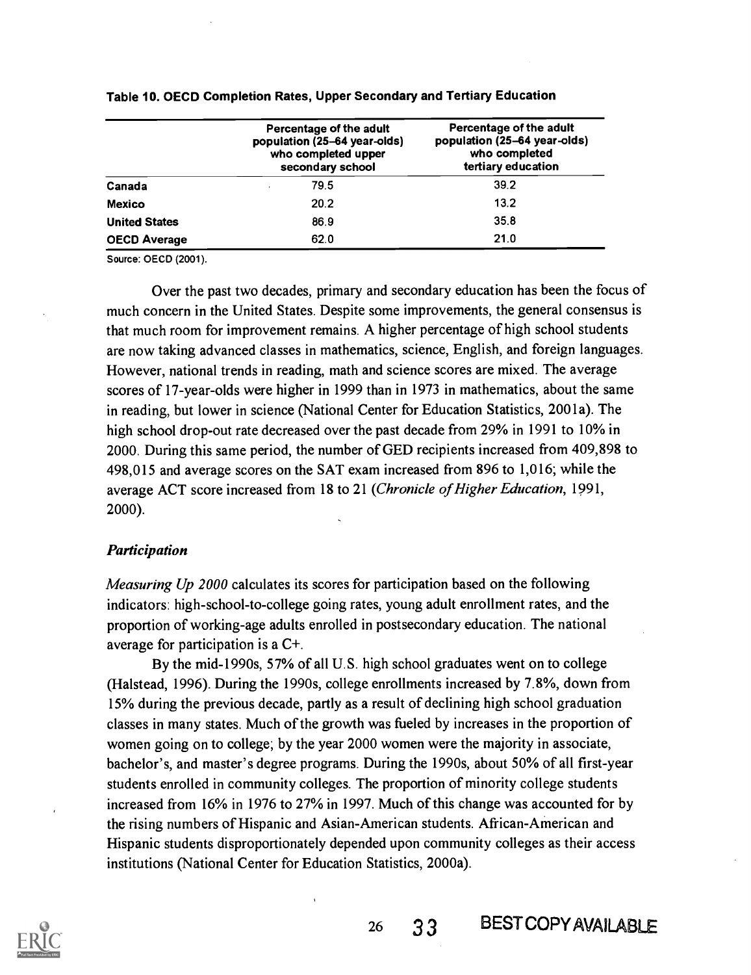|                      | Percentage of the adult<br>population (25-64 year-olds)<br>who completed upper<br>secondary school | Percentage of the adult<br>population (25-64 year-olds)<br>who completed<br>tertiary education |  |
|----------------------|----------------------------------------------------------------------------------------------------|------------------------------------------------------------------------------------------------|--|
| Canada               | 79.5                                                                                               | 39.2                                                                                           |  |
| Mexico               | 20.2                                                                                               | 13.2                                                                                           |  |
| <b>United States</b> | 86.9                                                                                               | 35.8                                                                                           |  |
| <b>OECD Average</b>  | 62.0                                                                                               | 21.0                                                                                           |  |

#### Table 10. OECD Completion Rates, Upper Secondary and Tertiary Education

Source: OECD (2001).

Over the past two decades, primary and secondary education has been the focus of much concern in the United States. Despite some improvements, the general consensus is that much room for improvement remains. A higher percentage of high school students are now taking advanced classes in mathematics, science, English, and foreign languages. However, national trends in reading, math and science scores are mixed. The average scores of 17-year-olds were higher in 1999 than in 1973 in mathematics, about the same in reading, but lower in science (National Center for Education Statistics, 2001a). The high school drop-out rate decreased over the past decade from 29% in 1991 to 10% in 2000. During this same period, the number of GED recipients increased from 409,898 to 498,015 and average scores on the SAT exam increased from 896 to 1,016; while the average ACT score increased from 18 to 21 (Chronicle of Higher Education, 1991, 2000).

#### Participation

Measuring Up 2000 calculates its scores for participation based on the following indicators: high-school-to-college going rates, young adult enrollment rates, and the proportion of working-age adults enrolled in postsecondary education. The national average for participation is a C+.

By the mid-1990s, 57% of all U.S. high school graduates went on to college (Halstead, 1996). During the 1990s, college enrollments increased by 7.8%, down from 15% during the previous decade, partly as a result of declining high school graduation classes in many states. Much of the growth was fueled by increases in the proportion of women going on to college; by the year 2000 women were the majority in associate, bachelor's, and master's degree programs. During the 1990s, about 50% of all first-year students enrolled in community colleges. The proportion of minority college students increased from 16% in 1976 to 27% in 1997. Much of this change was accounted for by the rising numbers of Hispanic and Asian-American students. African-American and Hispanic students disproportionately depended upon community colleges as their access institutions (National Center for Education Statistics, 2000a).

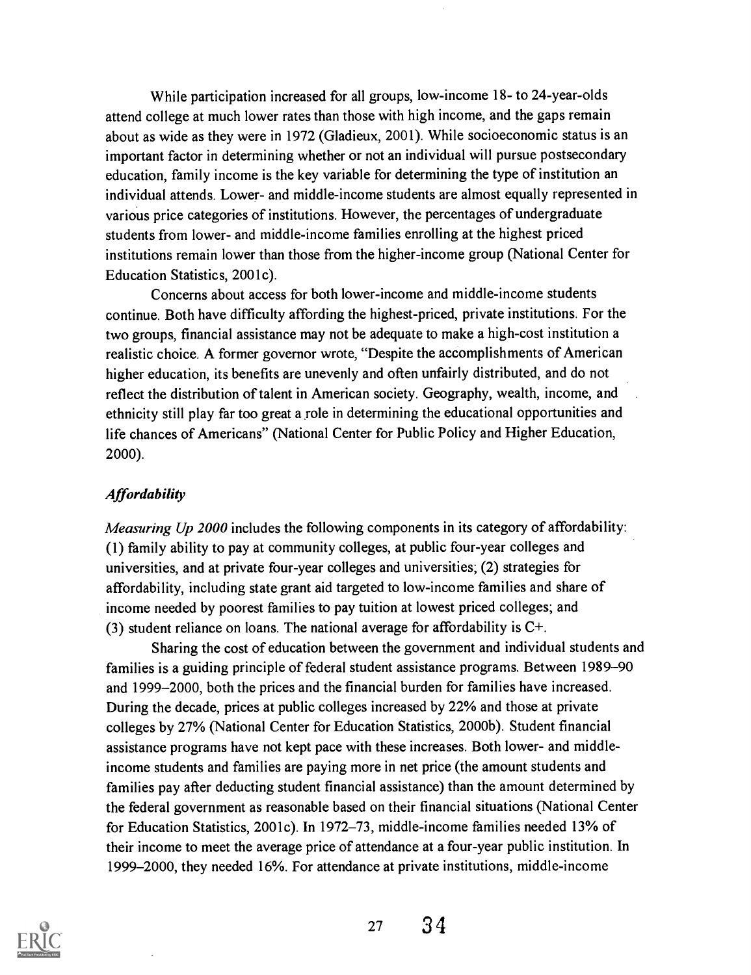While participation increased for all groups, low-income 18- to 24-year-olds attend college at much lower rates than those with high income, and the gaps remain about as wide as they were in 1972 (Gladieux, 2001). While socioeconomic status is an important factor in determining whether or not an individual will pursue postsecondary education, family income is the key variable for determining the type of institution an individual attends. Lower- and middle-income students are almost equally represented in various price categories of institutions. However, the percentages of undergraduate students from lower- and middle-income families enrolling at the highest priced institutions remain lower than those from the higher-income group (National Center for Education Statistics, 2001c).

Concerns about access for both lower-income and middle-income students continue. Both have difficulty affording the highest-priced, private institutions. For the two groups, financial assistance may not be adequate to make a high-cost institution a realistic choice. A former governor wrote, "Despite the accomplishments of American higher education, its benefits are unevenly and often unfairly distributed, and do not reflect the distribution of talent in American society. Geography, wealth, income, and ethnicity still play far too great a role in determining the educational opportunities and life chances of Americans" (National Center for Public Policy and Higher Education, 2000).

### **Affordability**

Measuring Up 2000 includes the following components in its category of affordability: (1) family ability to pay at community colleges, at public four-year colleges and universities, and at private four-year colleges and universities; (2) strategies for affordability, including state grant aid targeted to low-income families and share of income needed by poorest families to pay tuition at lowest priced colleges; and (3) student reliance on loans. The national average for affordability is  $C^+$ .

Sharing the cost of education between the government and individual students and families is a guiding principle of federal student assistance programs. Between 1989-90 and 1999-2000, both the prices and the financial burden for families have increased. During the decade, prices at public colleges increased by 22% and those at private colleges by 27% (National Center for Education Statistics, 2000b). Student financial assistance programs have not kept pace with these increases. Both lower- and middleincome students and families are paying more in net price (the amount students and families pay after deducting student financial assistance) than the amount determined by the federal government as reasonable based on their financial situations (National Center for Education Statistics, 2001c). In 1972-73, middle-income families needed 13% of their income to meet the average price of attendance at a four-year public institution. In 1999-2000, they needed 16%. For attendance at private institutions, middle-income



<sup>27</sup> 34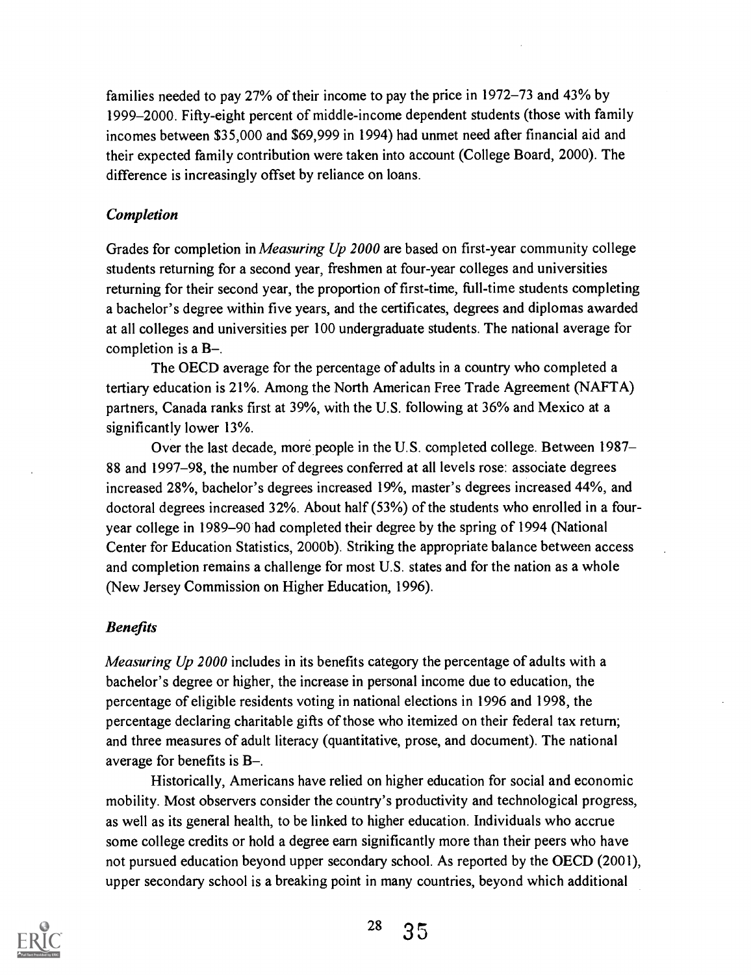families needed to pay 27% of their income to pay the price in 1972-73 and 43% by 1999-2000. Fifty-eight percent of middle-income dependent students (those with family incomes between \$35,000 and \$69,999 in 1994) had unmet need after financial aid and their expected family contribution were taken into account (College Board, 2000). The difference is increasingly offset by reliance on loans.

#### Completion

Grades for completion in *Measuring Up 2000* are based on first-year community college students returning for a second year, freshmen at four-year colleges and universities returning for their second year, the proportion of first-time, full-time students completing a bachelor's degree within five years, and the certificates, degrees and diplomas awarded at all colleges and universities per 100 undergraduate students. The national average for completion is a  $B-$ .

The OECD average for the percentage of adults in a country who completed a tertiary education is 21%. Among the North American Free Trade Agreement (NAFTA) partners, Canada ranks first at 39%, with the U.S. following at 36% and Mexico at a significantly lower 13%.

Over the last decade, more people in the U.S. completed college. Between 1987- 88 and 1997-98, the number of degrees conferred at all levels rose: associate degrees increased 28%, bachelor's degrees increased 19%, master's degrees increased 44%, and doctoral degrees increased 32%. About half (53%) of the students who enrolled in a fouryear college in 1989-90 had completed their degree by the spring of 1994 (National Center for Education Statistics, 2000b). Striking the appropriate balance between access and completion remains a challenge for most U.S. states and for the nation as a whole (New Jersey Commission on Higher Education, 1996).

#### Benefits

*Measuring Up 2000* includes in its benefits category the percentage of adults with a bachelor's degree or higher, the increase in personal income due to education, the percentage of eligible residents voting in national elections in 1996 and 1998, the percentage declaring charitable gifts of those who itemized on their federal tax return; and three measures of adult literacy (quantitative, prose, and document). The national average for benefits is  $B-$ .

Historically, Americans have relied on higher education for social and economic mobility. Most observers consider the country's productivity and technological progress, as well as its general health, to be linked to higher education. Individuals who accrue some college credits or hold a degree earn significantly more than their peers who have not pursued education beyond upper secondary school. As reported by the OECD (2001), upper secondary school is a breaking point in many countries, beyond which additional



<sup>28</sup> 35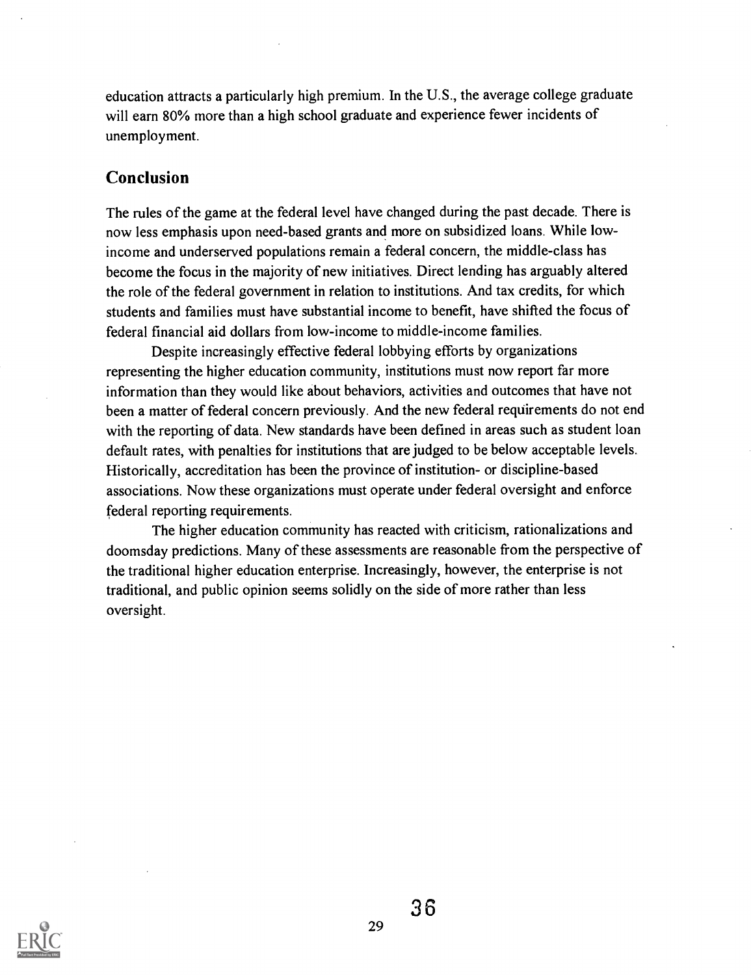education attracts a particularly high premium. In the U.S., the average college graduate will earn 80% more than a high school graduate and experience fewer incidents of unemployment.

### Conclusion

The rules of the game at the federal level have changed during the past decade. There is now less emphasis upon need-based grants and more on subsidized loans. While lowincome and underserved populations remain a federal concern, the middle-class has become the focus in the majority of new initiatives. Direct lending has arguably altered the role of the federal government in relation to institutions. And tax credits, for which students and families must have substantial income to benefit, have shifted the focus of federal financial aid dollars from low-income to middle-income families.

Despite increasingly effective federal lobbying efforts by organizations representing the higher education community, institutions must now report far more information than they would like about behaviors, activities and outcomes that have not been a matter of federal concern previously. And the new federal requirements do not end with the reporting of data. New standards have been defined in areas such as student loan default rates, with penalties for institutions that are judged to be below acceptable levels. Historically, accreditation has been the province of institution- or discipline-based associations. Now these organizations must operate under federal oversight and enforce federal reporting requirements.

The higher education community has reacted with criticism, rationalizations and doomsday predictions. Many of these assessments are reasonable from the perspective of the traditional higher education enterprise. Increasingly, however, the enterprise is not traditional, and public opinion seems solidly on the side of more rather than less oversight.

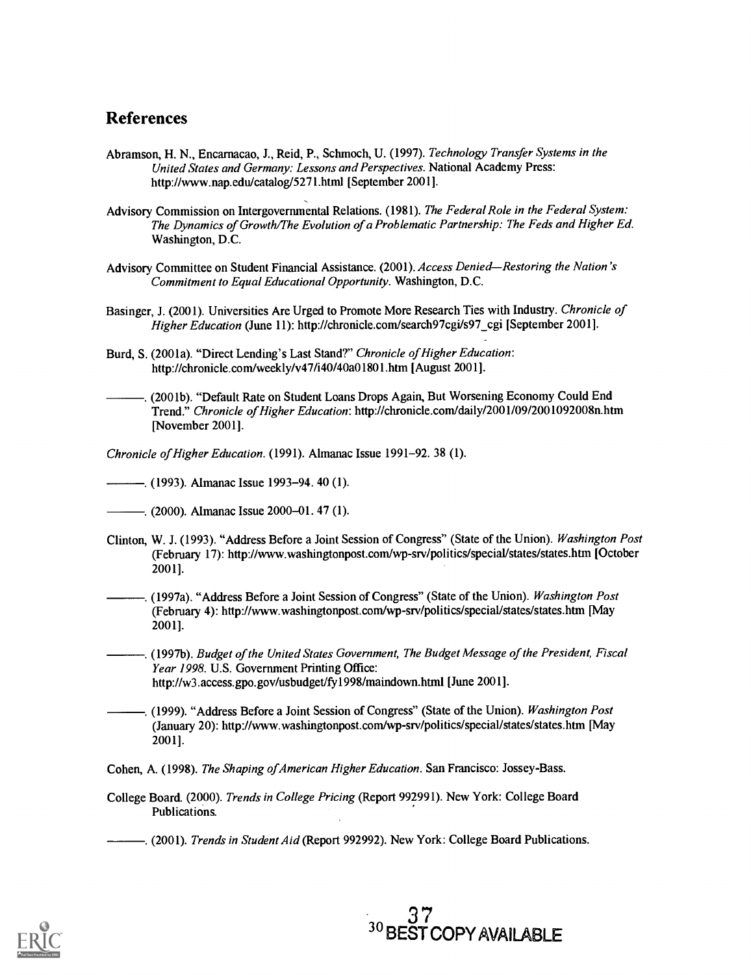### References

- Abramson, H. N., Encarnacao, J., Reid, P., Schmoch, U. (1997). Technology Transfer Systems in the United States and Germany: Lessons and Perspectives. National Academy Press: http://www.nap.edu/catalog/5271.html [September 2001].
- Advisory Commission on Intergovernmental Relations. (1981). The Federal Role in the Federal System: The Dynamics of Growth/The Evolution of a Problematic Partnership: The Feds and Higher Ed. Washington, D.C.
- Advisory Committee on Student Financial Assistance. (2001). Access Denied-Restoring the Nation's Commitment to Equal Educational Opportunity. Washington, D.C.
- Basinger, J. (2001). Universities Are Urged to Promote More Research Ties with Industry. Chronicle of Higher Education (June 11): http://chronicle.com/search97cgi/s97 cgi [September 2001].
- Burd, S. (2001a). "Direct Lending's Last Stand?" Chronicle of Higher Education: http://chronicle.com/weekly/v47/i40/40a01801.htm [August 2001].
- . (2001b). "Default Rate on Student Loans Drops Again, But Worsening Economy Could End Trend." Chronicle of Higher Education: http://chronicle.com/daily/2001/09/2001092008n.htm [November 2001].
- Chronicle of Higher Education. (1991). Almanac Issue 1991-92. 38 (1).
- . (1993). Almanac Issue 1993-94. 40 (1).
- $-$ . (2000). Almanac Issue 2000–01. 47 (1).
- Clinton, W. J. (1993). "Address Before a Joint Session of Congress" (State of the Union). Washington Post (February 17): http://www.washingtonpost.com/wp-srv/politics/special/states/states.htm [October 2001].
- . (1997a). "Address Before a Joint Session of Congress" (State of the Union). Washington Post (February 4): http://www.washingtonpost.com/wp-srv/politics/special/states/states.htm [May 2001].
- . (1997b). Budget of the United States Government, The Budget Message of the President, Fiscal Year 1998. U.S. Government Printing Office: http://w3.access.gpo.gov/usbudget/fy1998/maindown.html [June 2001].
- . (1999). "Address Before a Joint Session of Congress" (State of the Union). Washington Post (January 20): http://www.washingtonpost.com/wp-srv/politics/special/states/states.htm [May 2001].
- Cohen, A. (1998). The Shaping of American Higher Education. San Francisco: Jossey-Bass.
- College Board. (2000). Trends in College Pricing (Report 992991). New York: College Board Publications.
- ... (2001). Trends in Student Aid (Report 992992). New York: College Board Publications.

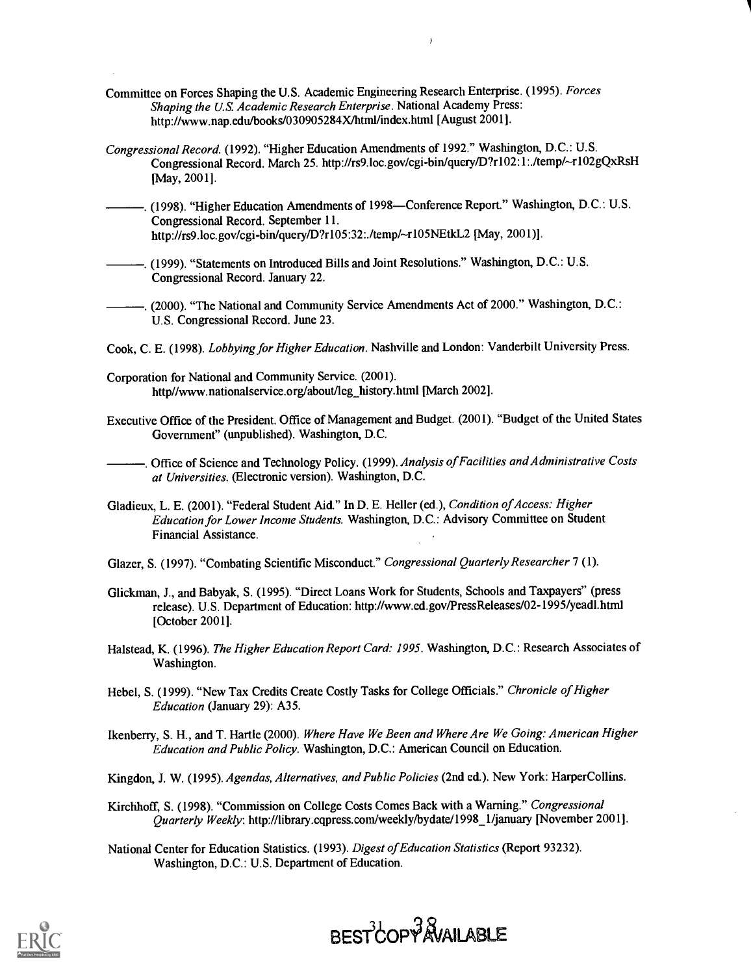- Committee on Forces Shaping the U.S. Academic Engineering Research Enterprise. (1995). Forces Shaping the U.S. Academic Research Enterprise. National Academy Press: http://www.nap.edu/books/030905284X/html/index.html [August 2001].
- Congressional Record. (1992). "Higher Education Amendments of 1992." Washington, D.C.: U.S. Congressional Record. March 25. http://rs9.1oc.gov/cgi-bin/query/D?r102:1:./temp/-4.102gQxRsH [May, 2001].
- . (1998). "Higher Education Amendments of 1998-Conference Report." Washington, D.C.: U.S. Congressional Record. September 11. http://rs9.loc.gov/cgi-bin/query/D?r105:32:./temp/~r105NEtkL2 [May, 2001)].
- . (1999). "Statements on Introduced Bills and Joint Resolutions." Washington, D.C.: U.S. Congressional Record. January 22.
- . (2000). "The National and Community Service Amendments Act of 2000." Washington, D.C.: U.S. Congressional Record. June 23.
- Cook, C. E. (1998). Lobbying for Higher Education. Nashville and London: Vanderbilt University Press.
- Corporation for National and Community Service. (2001). http//www.nationalservice.org/about/leg\_history.html [March 2002].
- Executive Office of the President. Office of Management and Budget. (2001). "Budget of the United States Government" (unpublished). Washington, D.C.

-. Office of Science and Technology Policy. (1999). Analysis of Facilities and Administrative Costs at Universities. (Electronic version). Washington, D.C.

- Gladieux, L. E. (2001). "Federal Student Aid." In D. E. Heller (ed.), Condition of Access: Higher Education for Lower Income Students. Washington, D.C.: Advisory Committee on Student Financial Assistance.
- Glazer, S. (1997). "Combating Scientific Misconduct." Congressional Quarterly Researcher 7 (1).
- Glickman, J., and Babyak, S. (1995). "Direct Loans Work for Students, Schools and Taxpayers" (press release). U.S. Department of Education: http://www.ed.gov/PressReleases/02-1995/yeadl.html [October 2001].
- Halstead, K. (1996). The Higher Education Report Card: 1995. Washington, D.C.: Research Associates of Washington.
- Hebei, S. (1999). "New Tax Credits Create Costly Tasks for College Officials." Chronicle of Higher Education (January 29): A35.

Ikenberry, S. H., and T. Hartle (2000). Where Have We Been and Where Are We Going: American Higher Education and Public Policy. Washington, D.C.: American Council on Education.

- Kingdon, J. W. (1995). Agendas, Alternatives, and Public Policies (2nd ed.). New York: HarperCollins.
- Kirchhoff, S. (1998). "Commission on College Costs Comes Back with a Warning." Congressional Quarterly Weekly: http://library.cqpress.com/weekly/bydate/1998\_1/january [November 2001].

National Center for Education Statistics. (1993). Digest of Education Statistics (Report 93232). Washington, D.C.: U.S. Department of Education.



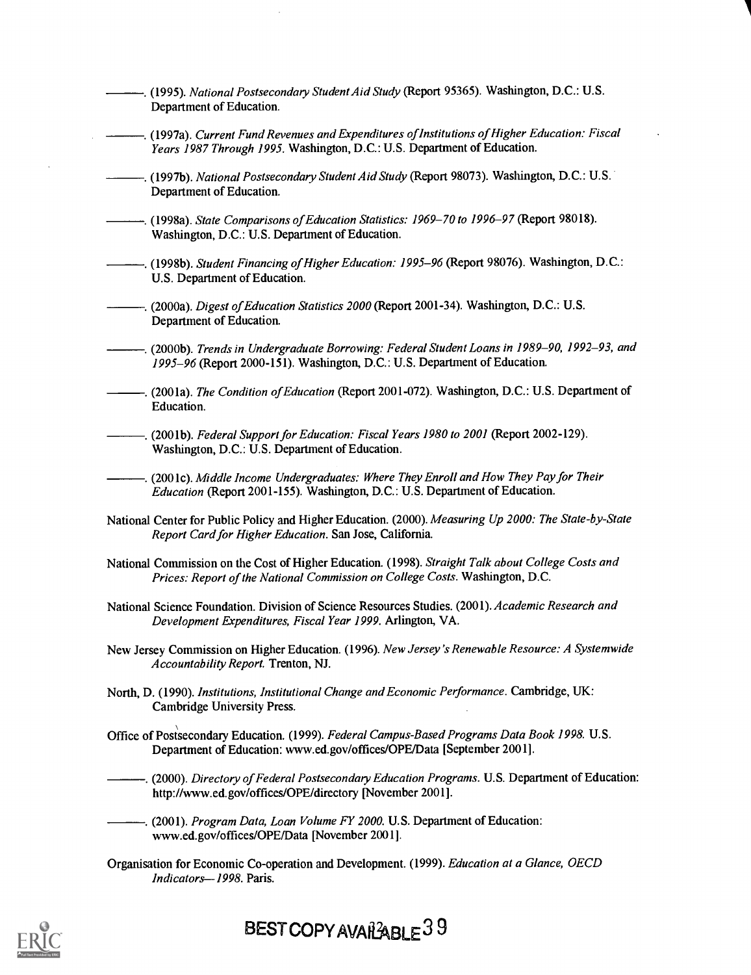- -.... (1995). National Postsecondary Student Aid Study (Report 95365). Washington, D.C.: U.S. Department of Education. -. (1997a). Current Fund Revenues and Expenditures of Institutions of Higher Education: Fiscal Years 1987 Through 1995. Washington, D.C.: U.S. Department of Education. . (1997b). National Postsecondary Student Aid Study (Report 98073). Washington, D.C.: U.S. Department of Education. . (1998a). State Comparisons of Education Statistics: 1969-70 to 1996-97 (Report 98018). Washington, D.C.: U.S. Department of Education. (1998b). Student Financing of Higher Education: 1995-96 (Report 98076). Washington, D.C.: U.S. Department of Education. -. (2000a). Digest of Education Statistics 2000 (Report 2001-34). Washington, D.C.: U.S. Department of Education. -. (2000b). Trends in Undergraduate Borrowing: Federal Student Loans in 1989–90, 1992–93, and 1995-96 (Report 2000-151). Washington, D.C.: U.S. Department of Education. -. (2001a). The Condition of Education (Report 2001-072). Washington, D.C.: U.S. Department of Education. . (2001b). Federal Support for Education: Fiscal Years 1980 to 2001 (Report 2002-129). Washington, D.C.: U.S. Department of Education. . (2001c). Middle Income Undergraduates: Where They Enroll and How They Pay for Their Education (Report 2001-155). Washington, D.C.: U.S. Department of Education. National Center for Public Policy and Higher Education. (2000). Measuring Up 2000: The State-by-State Report Card for Higher Education. San Jose, California. National Commission on the Cost of Higher Education. (1998). Straight Talk about College Costs and Prices: Report of the National Commission on College Costs. Washington, D.C. National Science Foundation. Division of Science Resources Studies. (2001). Academic Research and Development Expenditures, Fiscal Year 1999. Arlington, VA. New Jersey Commission on Higher Education. (1996). New Jersey's Renewable Resource: A Systemwide Accountability Report. Trenton, NJ. North, D. (1990). Institutions, Institutional Change and Economic Performance. Cambridge, UK: Cambridge University Press. Office of Postsecondary Education. (1999). Federal Campus-Based Programs Data Book 1998. U.S. Department of Education: www.ed.gov/offices/OPE/Data [September 2001]. . (2000). Directory of Federal Postsecondary Education Programs. U.S. Department of Education: http://www.ed.gov/offices/OPE/directory [November 2001]. -... (2001). Program Data, Loan Volume FY 2000. U.S. Department of Education: www.ed.gov/offices/OPE/Data [November 2001]. Organisation for Economic Co-operation and Development. (1999). Education at a Glance, OECD
	- Indicators-1998. Paris.



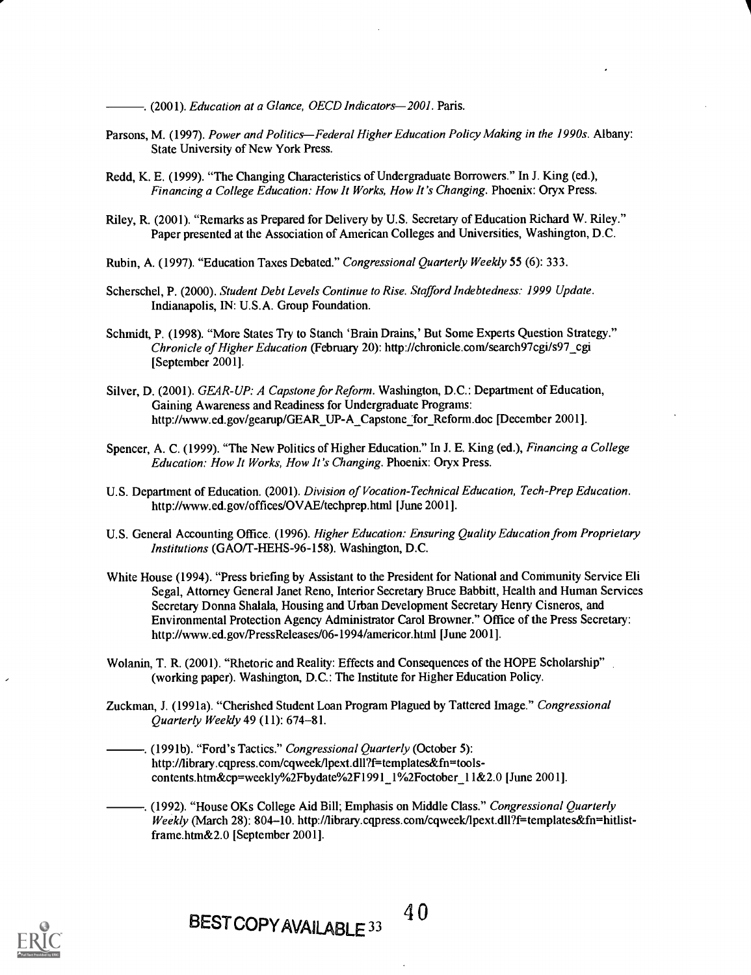-. (2001). Education at a Glance, OECD Indicators-2001. Paris.

- Parsons, M. (1997). Power and Politics—Federal Higher Education Policy Making in the 1990s. Albany: State University of New York Press.
- Redd, K. E. (1999). "The Changing Characteristics of Undergraduate Borrowers." In J. King (ed.), Financing a College Education: How It Works, How It's Changing. Phoenix: Oryx Press.
- Riley, R. (2001). "Remarks as Prepared for Delivery by U.S. Secretary of Education Richard W. Riley." Paper presented at the Association of American Colleges and Universities, Washington, D.C.
- Rubin, A. (1997). "Education Taxes Debated." Congressional Quarterly Weekly 55 (6): 333.
- Scherschel, P. (2000). Student Debt Levels Continue to Rise. Stafford Indebtedness: 1999 Update. Indianapolis, IN: U.S.A. Group Foundation.
- Schmidt, P. (1998). "More States Try to Stanch 'Brain Drains,' But Some Experts Question Strategy." Chronicle of Higher Education (February 20): http://chronicle.com/search97cgi/s97\_cgi [September 2001].
- Silver, D. (2001). GEAR-UP: A Capstone for Reform. Washington, D.C.: Department of Education, Gaining Awareness and Readiness for Undergraduate Programs: http://www.ed.gov/gearup/GEAR\_UP-A\_Capstone for\_Reform.doc [December 2001].
- Spencer, A. C. (1999). "The New Politics of Higher Education." In J. E. King (ed.), *Financing a College* Education: How It Works, How It's Changing. Phoenix: Oryx Press.
- U.S. Department of Education. (2001). Division of Vocation-Technical Education, Tech-Prep Education. http://www.ed.gov/offices/OVAE/techprep.html [June 2001].
- U.S. General Accounting Office. (1996). Higher Education: Ensuring Quality Education from Proprietary Institutions (GAO/T-HEHS-96-158). Washington, D.C.
- White House (1994). "Press briefing by Assistant to the President for National and Community Service Eli Segal, Attorney General Janet Reno, Interior Secretary Bruce Babbitt, Health and Human Services Secretary Donna Shalala, Housing and Urban Development Secretary Henry Cisneros, and Environmental Protection Agency Administrator Carol Browner." Office of the Press Secretary: http://www.ed.gov/PressReleases/06-1994/americor.html [June 2001].
- Wolanin, T. R. (2001). "Rhetoric and Reality: Effects and Consequences of the HOPE Scholarship" (working paper). Washington, D.C.: The Institute for Higher Education Policy.
- Zuckman, J. (1991a). "Cherished Student Loan Program Plagued by Tattered Image." Congressional Quarterly Weekly 49 (11): 674-81.
	- . (1991b). "Ford's Tactics." Congressional Quarterly (October 5): http://library.cqpress.com/cqweek/Ipext.dll?f=templates&fn=toolscontents.htm&cp=weekly%2Fbydate%2F1991\_1%2Foctober\_11&2.0 [June 2001].

. (1992). "House OKs College Aid Bill; Emphasis on Middle Class." Congressional Quarterly Weekly (March 28): 804-10. http://library.cqpress.com/cqweek/lpext.dll?f=templates&fn=hitlistframe.htm&2.0 [September 2001].

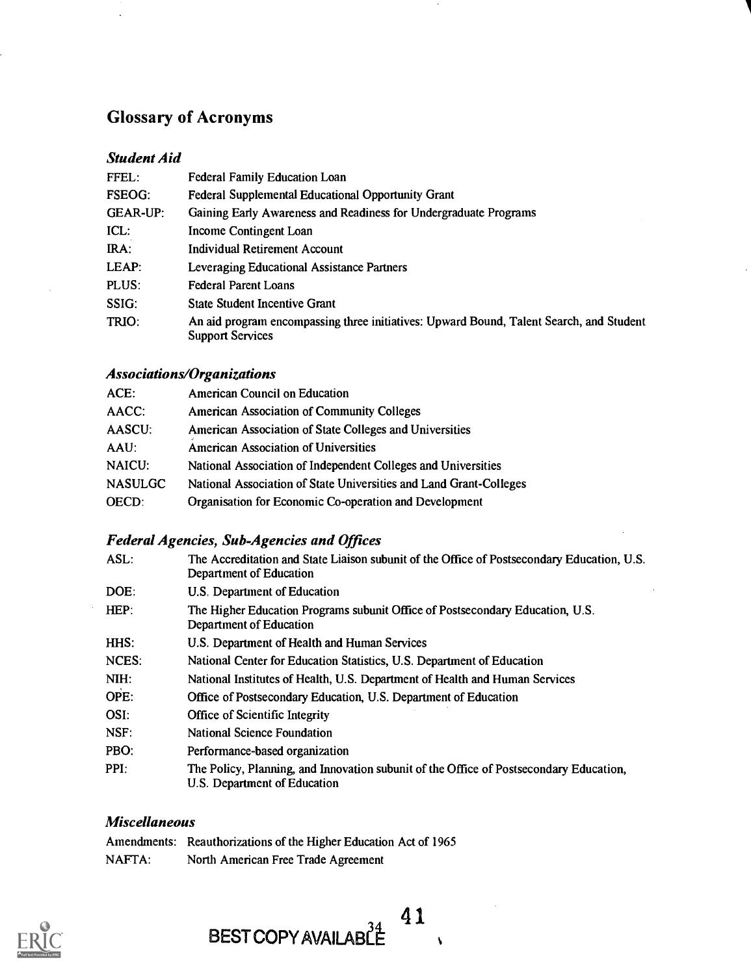# Glossary of Acronyms

### Student Aid

| FFEL:           | <b>Federal Family Education Loan</b>                                                                               |
|-----------------|--------------------------------------------------------------------------------------------------------------------|
| <b>FSEOG:</b>   | <b>Federal Supplemental Educational Opportunity Grant</b>                                                          |
| <b>GEAR-UP:</b> | Gaining Early Awareness and Readiness for Undergraduate Programs                                                   |
| $ICL$ :         | Income Contingent Loan                                                                                             |
| IRA:            | <b>Individual Retirement Account</b>                                                                               |
| LEAP:           | Leveraging Educational Assistance Partners                                                                         |
| PLUS:           | <b>Federal Parent Loans</b>                                                                                        |
| SSIG:           | <b>State Student Incentive Grant</b>                                                                               |
| TRIO:           | An aid program encompassing three initiatives: Upward Bound, Talent Search, and Student<br><b>Support Services</b> |

# Associations/Organizations

| ACE:           | American Council on Education                                      |
|----------------|--------------------------------------------------------------------|
| AACC:          | American Association of Community Colleges                         |
| AASCU:         | American Association of State Colleges and Universities            |
| AAU:           | American Association of Universities                               |
| <b>NAICU:</b>  | National Association of Independent Colleges and Universities      |
| <b>NASULGC</b> | National Association of State Universities and Land Grant-Colleges |
| <b>OECD:</b>   | Organisation for Economic Co-operation and Development             |
|                |                                                                    |

# Federal Agencies, Sub-Agencies and Offices

| ASL:  | The Accreditation and State Liaison subunit of the Office of Postsecondary Education, U.S.<br>Department of Education  |
|-------|------------------------------------------------------------------------------------------------------------------------|
| DOE:  | U.S. Department of Education                                                                                           |
| HEP:  | The Higher Education Programs subunit Office of Postsecondary Education, U.S.<br>Department of Education               |
| HHS:  | U.S. Department of Health and Human Services                                                                           |
| NCES: | National Center for Education Statistics, U.S. Department of Education                                                 |
| NIH:  | National Institutes of Health, U.S. Department of Health and Human Services                                            |
| OPE:  | Office of Postsecondary Education, U.S. Department of Education                                                        |
| OSI:  | <b>Office of Scientific Integrity</b>                                                                                  |
| NSF:  | <b>National Science Foundation</b>                                                                                     |
| PBO:  | Performance-based organization                                                                                         |
| PPI:  | The Policy, Planning, and Innovation subunit of the Office of Postsecondary Education,<br>U.S. Department of Education |

 $\overline{\mathbf{v}}$ 

# Miscellaneous

|        | Amendments: Reauthorizations of the Higher Education Act of 1965 |
|--------|------------------------------------------------------------------|
| NAFTA: | North American Free Trade Agreement                              |



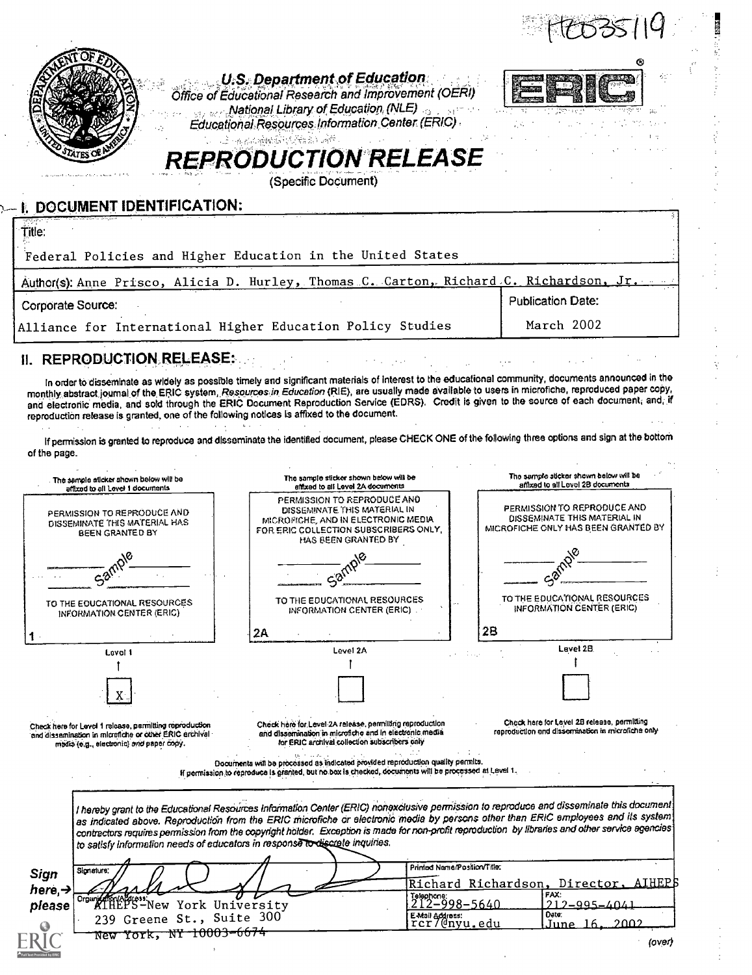

TO THE EDUCATIONAL RESOURCES TO THE EDUCATIONAL RESOURCES TO THE EDUCATIONAL RESOURCES INFORMATION CENTER (ERIC) INFORMATION CENTER (ERIC) . INFORMATION CENTER (ERIC) 28 2A Level 2A Level 1 Ť

:Check here for Level I release, perreitting ropioduction and dissemination in microfiche or other ERIC erthlyal modis (e.g., electronic) and paper Copy.

1 - Jan Jaw

Check here for Level 2A release, permitting reproduction and dIsiernination in microfiche and In electronic media for ERIC archival collection subscribers only

Check hare for Level 28 release, permitting reproduction end dissemination in microfiche only

Level 2B

Documents will be processed as indicated provided reproduction quality permits. If permission.to reproduce Is granted, but no box Is checkad, documents will be processed at Level 1.

Sign here,  $\rightarrow$  221 please <sup>Crow</sup> XIHEPS-New York University I hereby grant to the Educational Resources Information Center (ERIC) nonexclusive permission to reproduce and disseminate this document. as indicated above. Reproduction from the ERIC microfiche or electronic media by persons other than ERIC employees and its system contractors requires permission from the copyright holder. Exception is made for non-profit reproduction bylibraries and other service agencies to satisfy information needs of educators in response to discrete inquiries. **Signature** 239 Greene St., Suite 300<br>New York, NY 10003-6674 Printed Name (Position/Titler; chard Richardson. 911q98-5640  $\begin{array}{|l|l|}\n\hline\n\text{Exkail Adness:} & \text{Date:} \\
\text{TCr} & \text{(dnyu, edu)} & \text{June} \\
\hline\n\end{array}$ <u>Director, AIHF</u> FAX:<br>212-995-4041 Date;<br>June 16, 2002

(over)